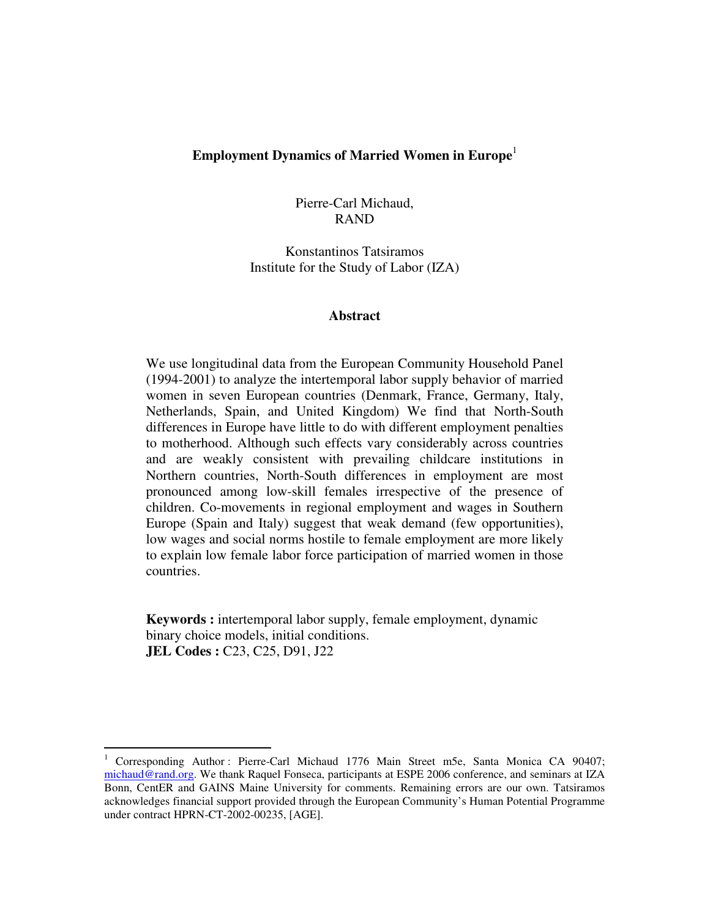## **Employment Dynamics of Married Women in Europe**<sup>1</sup>

Pierre-Carl Michaud, RAND

Konstantinos Tatsiramos Institute for the Study of Labor (IZA)

#### **Abstract**

We use longitudinal data from the European Community Household Panel (1994-2001) to analyze the intertemporal labor supply behavior of married women in seven European countries (Denmark, France, Germany, Italy, Netherlands, Spain, and United Kingdom) We find that North-South differences in Europe have little to do with different employment penalties to motherhood. Although such effects vary considerably across countries and are weakly consistent with prevailing childcare institutions in Northern countries, North-South differences in employment are most pronounced among low-skill females irrespective of the presence of children. Co-movements in regional employment and wages in Southern Europe (Spain and Italy) suggest that weak demand (few opportunities), low wages and social norms hostile to female employment are more likely to explain low female labor force participation of married women in those countries.

**Keywords :** intertemporal labor supply, female employment, dynamic binary choice models, initial conditions. **JEL Codes : C23, C25, D91, J22** 

<sup>1</sup> Corresponding Author : Pierre-Carl Michaud 1776 Main Street m5e, Santa Monica CA 90407; michaud@rand.org. We thank Raquel Fonseca, participants at ESPE 2006 conference, and seminars at IZA Bonn, CentER and GAINS Maine University for comments. Remaining errors are our own. Tatsiramos acknowledges financial support provided through the European Community's Human Potential Programme under contract HPRN-CT-2002-00235, [AGE].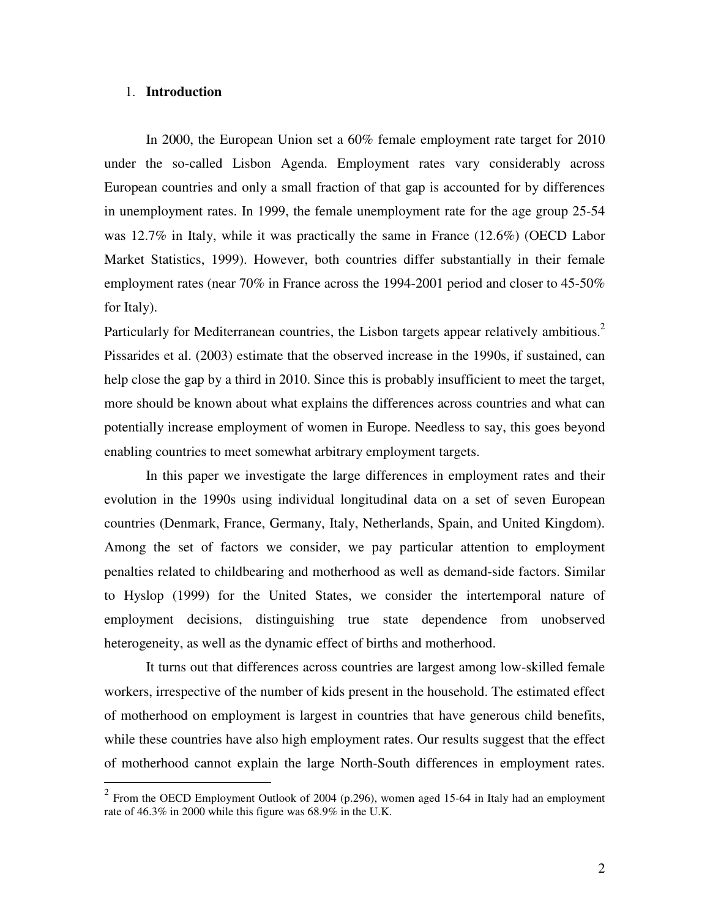#### 1. **Introduction**

In 2000, the European Union set a 60% female employment rate target for 2010 under the so-called Lisbon Agenda. Employment rates vary considerably across European countries and only a small fraction of that gap is accounted for by differences in unemployment rates. In 1999, the female unemployment rate for the age group 25-54 was 12.7% in Italy, while it was practically the same in France (12.6%) (OECD Labor Market Statistics, 1999). However, both countries differ substantially in their female employment rates (near 70% in France across the 1994-2001 period and closer to 45-50% for Italy).

Particularly for Mediterranean countries, the Lisbon targets appear relatively ambitious.<sup>2</sup> Pissarides et al. (2003) estimate that the observed increase in the 1990s, if sustained, can help close the gap by a third in 2010. Since this is probably insufficient to meet the target, more should be known about what explains the differences across countries and what can potentially increase employment of women in Europe. Needless to say, this goes beyond enabling countries to meet somewhat arbitrary employment targets.

 In this paper we investigate the large differences in employment rates and their evolution in the 1990s using individual longitudinal data on a set of seven European countries (Denmark, France, Germany, Italy, Netherlands, Spain, and United Kingdom). Among the set of factors we consider, we pay particular attention to employment penalties related to childbearing and motherhood as well as demand-side factors. Similar to Hyslop (1999) for the United States, we consider the intertemporal nature of employment decisions, distinguishing true state dependence from unobserved heterogeneity, as well as the dynamic effect of births and motherhood.

 It turns out that differences across countries are largest among low-skilled female workers, irrespective of the number of kids present in the household. The estimated effect of motherhood on employment is largest in countries that have generous child benefits, while these countries have also high employment rates. Our results suggest that the effect of motherhood cannot explain the large North-South differences in employment rates.

<sup>&</sup>lt;sup>2</sup> From the OECD Employment Outlook of 2004 (p.296), women aged 15-64 in Italy had an employment rate of 46.3% in 2000 while this figure was 68.9% in the U.K.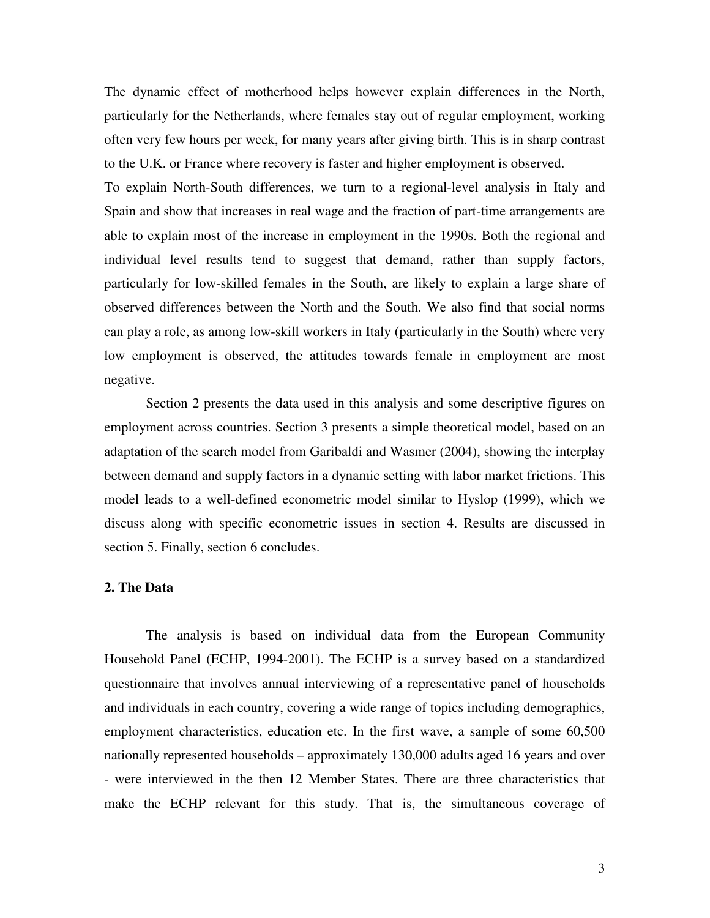The dynamic effect of motherhood helps however explain differences in the North, particularly for the Netherlands, where females stay out of regular employment, working often very few hours per week, for many years after giving birth. This is in sharp contrast to the U.K. or France where recovery is faster and higher employment is observed.

To explain North-South differences, we turn to a regional-level analysis in Italy and Spain and show that increases in real wage and the fraction of part-time arrangements are able to explain most of the increase in employment in the 1990s. Both the regional and individual level results tend to suggest that demand, rather than supply factors, particularly for low-skilled females in the South, are likely to explain a large share of observed differences between the North and the South. We also find that social norms can play a role, as among low-skill workers in Italy (particularly in the South) where very low employment is observed, the attitudes towards female in employment are most negative.

 Section 2 presents the data used in this analysis and some descriptive figures on employment across countries. Section 3 presents a simple theoretical model, based on an adaptation of the search model from Garibaldi and Wasmer (2004), showing the interplay between demand and supply factors in a dynamic setting with labor market frictions. This model leads to a well-defined econometric model similar to Hyslop (1999), which we discuss along with specific econometric issues in section 4. Results are discussed in section 5. Finally, section 6 concludes.

#### **2. The Data**

The analysis is based on individual data from the European Community Household Panel (ECHP, 1994-2001). The ECHP is a survey based on a standardized questionnaire that involves annual interviewing of a representative panel of households and individuals in each country, covering a wide range of topics including demographics, employment characteristics, education etc. In the first wave, a sample of some 60,500 nationally represented households – approximately 130,000 adults aged 16 years and over - were interviewed in the then 12 Member States. There are three characteristics that make the ECHP relevant for this study. That is, the simultaneous coverage of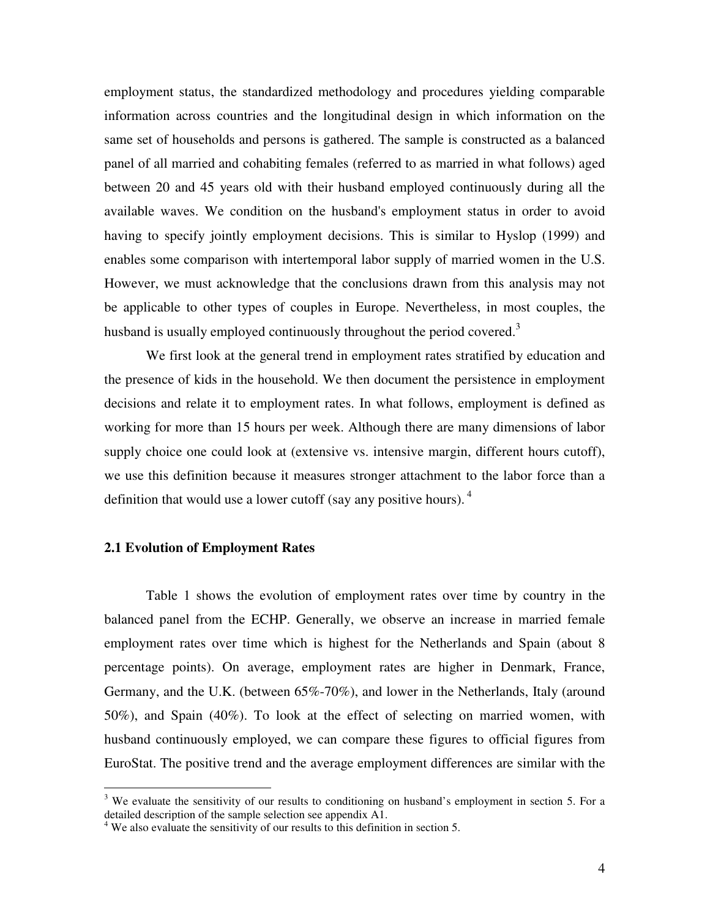employment status, the standardized methodology and procedures yielding comparable information across countries and the longitudinal design in which information on the same set of households and persons is gathered. The sample is constructed as a balanced panel of all married and cohabiting females (referred to as married in what follows) aged between 20 and 45 years old with their husband employed continuously during all the available waves. We condition on the husband's employment status in order to avoid having to specify jointly employment decisions. This is similar to Hyslop (1999) and enables some comparison with intertemporal labor supply of married women in the U.S. However, we must acknowledge that the conclusions drawn from this analysis may not be applicable to other types of couples in Europe. Nevertheless, in most couples, the husband is usually employed continuously throughout the period covered.<sup>3</sup>

We first look at the general trend in employment rates stratified by education and the presence of kids in the household. We then document the persistence in employment decisions and relate it to employment rates. In what follows, employment is defined as working for more than 15 hours per week. Although there are many dimensions of labor supply choice one could look at (extensive vs. intensive margin, different hours cutoff), we use this definition because it measures stronger attachment to the labor force than a definition that would use a lower cutoff (say any positive hours).  $4\overline{ }$ 

#### **2.1 Evolution of Employment Rates**

Table 1 shows the evolution of employment rates over time by country in the balanced panel from the ECHP. Generally, we observe an increase in married female employment rates over time which is highest for the Netherlands and Spain (about 8 percentage points). On average, employment rates are higher in Denmark, France, Germany, and the U.K. (between 65%-70%), and lower in the Netherlands, Italy (around 50%), and Spain (40%). To look at the effect of selecting on married women, with husband continuously employed, we can compare these figures to official figures from EuroStat. The positive trend and the average employment differences are similar with the

<sup>&</sup>lt;sup>3</sup> We evaluate the sensitivity of our results to conditioning on husband's employment in section 5. For a detailed description of the sample selection see appendix A1.

<sup>&</sup>lt;sup>4</sup> We also evaluate the sensitivity of our results to this definition in section 5.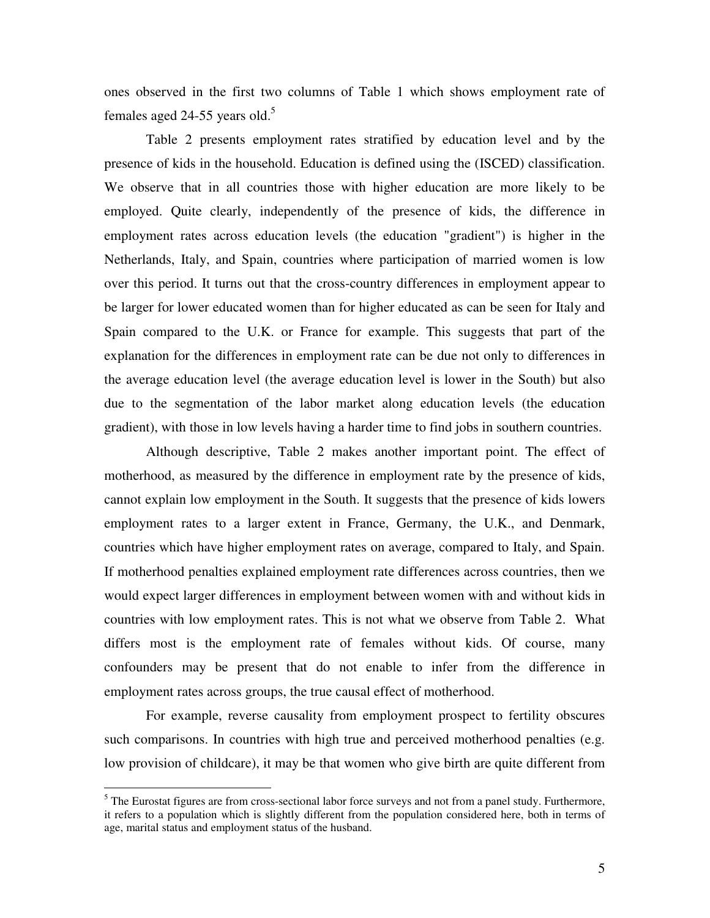ones observed in the first two columns of Table 1 which shows employment rate of females aged 24-55 years old.<sup>5</sup>

Table 2 presents employment rates stratified by education level and by the presence of kids in the household. Education is defined using the (ISCED) classification. We observe that in all countries those with higher education are more likely to be employed. Quite clearly, independently of the presence of kids, the difference in employment rates across education levels (the education "gradient") is higher in the Netherlands, Italy, and Spain, countries where participation of married women is low over this period. It turns out that the cross-country differences in employment appear to be larger for lower educated women than for higher educated as can be seen for Italy and Spain compared to the U.K. or France for example. This suggests that part of the explanation for the differences in employment rate can be due not only to differences in the average education level (the average education level is lower in the South) but also due to the segmentation of the labor market along education levels (the education gradient), with those in low levels having a harder time to find jobs in southern countries.

Although descriptive, Table 2 makes another important point. The effect of motherhood, as measured by the difference in employment rate by the presence of kids, cannot explain low employment in the South. It suggests that the presence of kids lowers employment rates to a larger extent in France, Germany, the U.K., and Denmark, countries which have higher employment rates on average, compared to Italy, and Spain. If motherhood penalties explained employment rate differences across countries, then we would expect larger differences in employment between women with and without kids in countries with low employment rates. This is not what we observe from Table 2. What differs most is the employment rate of females without kids. Of course, many confounders may be present that do not enable to infer from the difference in employment rates across groups, the true causal effect of motherhood.

For example, reverse causality from employment prospect to fertility obscures such comparisons. In countries with high true and perceived motherhood penalties (e.g. low provision of childcare), it may be that women who give birth are quite different from

<sup>&</sup>lt;sup>5</sup> The Eurostat figures are from cross-sectional labor force surveys and not from a panel study. Furthermore, it refers to a population which is slightly different from the population considered here, both in terms of age, marital status and employment status of the husband.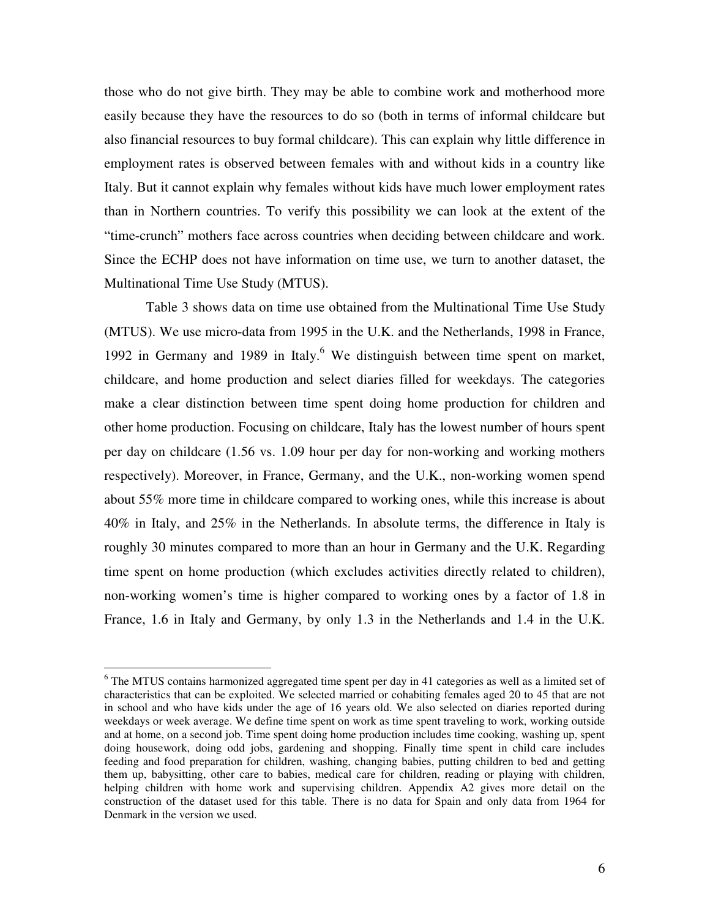those who do not give birth. They may be able to combine work and motherhood more easily because they have the resources to do so (both in terms of informal childcare but also financial resources to buy formal childcare). This can explain why little difference in employment rates is observed between females with and without kids in a country like Italy. But it cannot explain why females without kids have much lower employment rates than in Northern countries. To verify this possibility we can look at the extent of the "time-crunch" mothers face across countries when deciding between childcare and work. Since the ECHP does not have information on time use, we turn to another dataset, the Multinational Time Use Study (MTUS).

Table 3 shows data on time use obtained from the Multinational Time Use Study (MTUS). We use micro-data from 1995 in the U.K. and the Netherlands, 1998 in France, 1992 in Germany and 1989 in Italy.<sup>6</sup> We distinguish between time spent on market, childcare, and home production and select diaries filled for weekdays. The categories make a clear distinction between time spent doing home production for children and other home production. Focusing on childcare, Italy has the lowest number of hours spent per day on childcare (1.56 vs. 1.09 hour per day for non-working and working mothers respectively). Moreover, in France, Germany, and the U.K., non-working women spend about 55% more time in childcare compared to working ones, while this increase is about 40% in Italy, and 25% in the Netherlands. In absolute terms, the difference in Italy is roughly 30 minutes compared to more than an hour in Germany and the U.K. Regarding time spent on home production (which excludes activities directly related to children), non-working women's time is higher compared to working ones by a factor of 1.8 in France, 1.6 in Italy and Germany, by only 1.3 in the Netherlands and 1.4 in the U.K.

<sup>&</sup>lt;sup>6</sup> The MTUS contains harmonized aggregated time spent per day in 41 categories as well as a limited set of characteristics that can be exploited. We selected married or cohabiting females aged 20 to 45 that are not in school and who have kids under the age of 16 years old. We also selected on diaries reported during weekdays or week average. We define time spent on work as time spent traveling to work, working outside and at home, on a second job. Time spent doing home production includes time cooking, washing up, spent doing housework, doing odd jobs, gardening and shopping. Finally time spent in child care includes feeding and food preparation for children, washing, changing babies, putting children to bed and getting them up, babysitting, other care to babies, medical care for children, reading or playing with children, helping children with home work and supervising children. Appendix A2 gives more detail on the construction of the dataset used for this table. There is no data for Spain and only data from 1964 for Denmark in the version we used.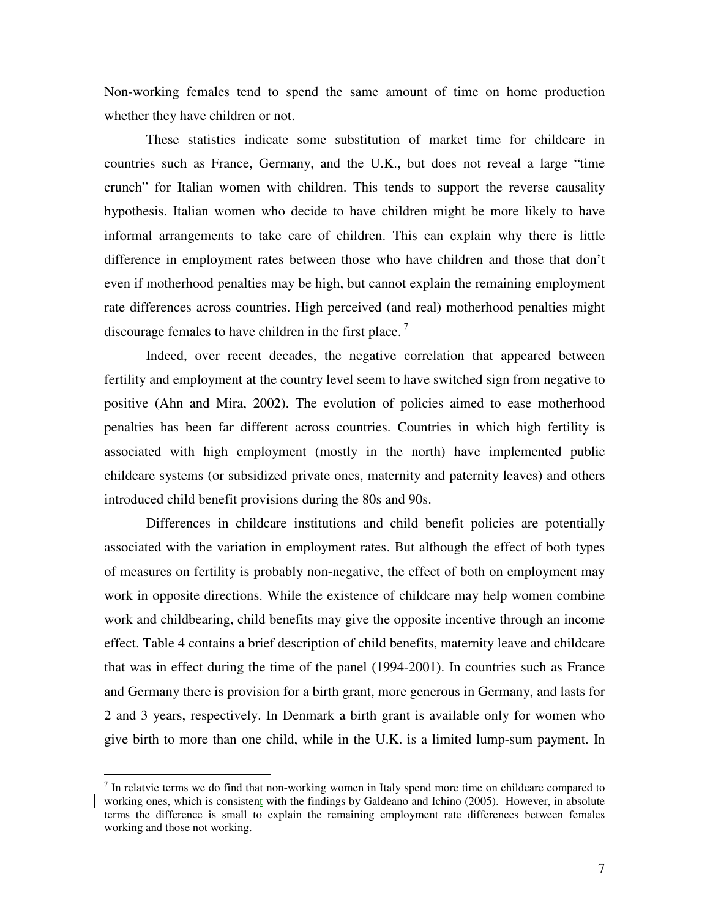Non-working females tend to spend the same amount of time on home production whether they have children or not.

These statistics indicate some substitution of market time for childcare in countries such as France, Germany, and the U.K., but does not reveal a large "time crunch" for Italian women with children. This tends to support the reverse causality hypothesis. Italian women who decide to have children might be more likely to have informal arrangements to take care of children. This can explain why there is little difference in employment rates between those who have children and those that don't even if motherhood penalties may be high, but cannot explain the remaining employment rate differences across countries. High perceived (and real) motherhood penalties might discourage females to have children in the first place.<sup>7</sup>

Indeed, over recent decades, the negative correlation that appeared between fertility and employment at the country level seem to have switched sign from negative to positive (Ahn and Mira, 2002). The evolution of policies aimed to ease motherhood penalties has been far different across countries. Countries in which high fertility is associated with high employment (mostly in the north) have implemented public childcare systems (or subsidized private ones, maternity and paternity leaves) and others introduced child benefit provisions during the 80s and 90s.

Differences in childcare institutions and child benefit policies are potentially associated with the variation in employment rates. But although the effect of both types of measures on fertility is probably non-negative, the effect of both on employment may work in opposite directions. While the existence of childcare may help women combine work and childbearing, child benefits may give the opposite incentive through an income effect. Table 4 contains a brief description of child benefits, maternity leave and childcare that was in effect during the time of the panel (1994-2001). In countries such as France and Germany there is provision for a birth grant, more generous in Germany, and lasts for 2 and 3 years, respectively. In Denmark a birth grant is available only for women who give birth to more than one child, while in the U.K. is a limited lump-sum payment. In

 $<sup>7</sup>$  In relatvie terms we do find that non-working women in Italy spend more time on childcare compared to</sup> working ones, which is consistent with the findings by Galdeano and Ichino (2005). However, in absolute terms the difference is small to explain the remaining employment rate differences between females working and those not working.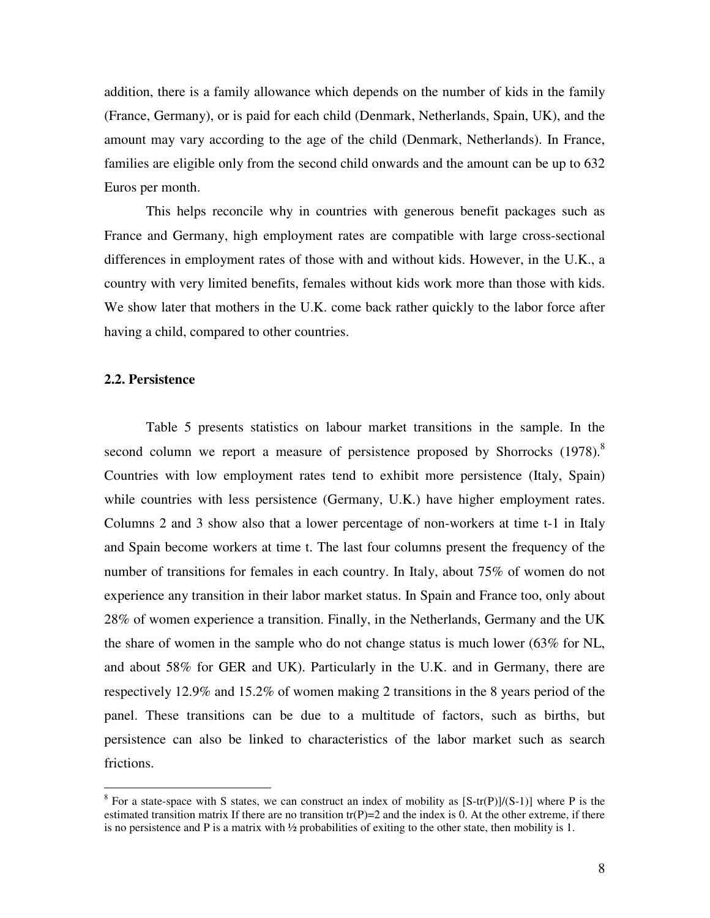addition, there is a family allowance which depends on the number of kids in the family (France, Germany), or is paid for each child (Denmark, Netherlands, Spain, UK), and the amount may vary according to the age of the child (Denmark, Netherlands). In France, families are eligible only from the second child onwards and the amount can be up to 632 Euros per month.

This helps reconcile why in countries with generous benefit packages such as France and Germany, high employment rates are compatible with large cross-sectional differences in employment rates of those with and without kids. However, in the U.K., a country with very limited benefits, females without kids work more than those with kids. We show later that mothers in the U.K. come back rather quickly to the labor force after having a child, compared to other countries.

#### **2.2. Persistence**

 $\overline{a}$ 

Table 5 presents statistics on labour market transitions in the sample. In the second column we report a measure of persistence proposed by Shorrocks  $(1978)^8$ . Countries with low employment rates tend to exhibit more persistence (Italy, Spain) while countries with less persistence (Germany, U.K.) have higher employment rates. Columns 2 and 3 show also that a lower percentage of non-workers at time t-1 in Italy and Spain become workers at time t. The last four columns present the frequency of the number of transitions for females in each country. In Italy, about 75% of women do not experience any transition in their labor market status. In Spain and France too, only about 28% of women experience a transition. Finally, in the Netherlands, Germany and the UK the share of women in the sample who do not change status is much lower (63% for NL, and about 58% for GER and UK). Particularly in the U.K. and in Germany, there are respectively 12.9% and 15.2% of women making 2 transitions in the 8 years period of the panel. These transitions can be due to a multitude of factors, such as births, but persistence can also be linked to characteristics of the labor market such as search frictions.

<sup>&</sup>lt;sup>8</sup> For a state-space with S states, we can construct an index of mobility as  $[S-tr(P)]/(S-1)]$  where P is the estimated transition matrix If there are no transition  $tr(P)=2$  and the index is 0. At the other extreme, if there is no persistence and P is a matrix with ½ probabilities of exiting to the other state, then mobility is 1.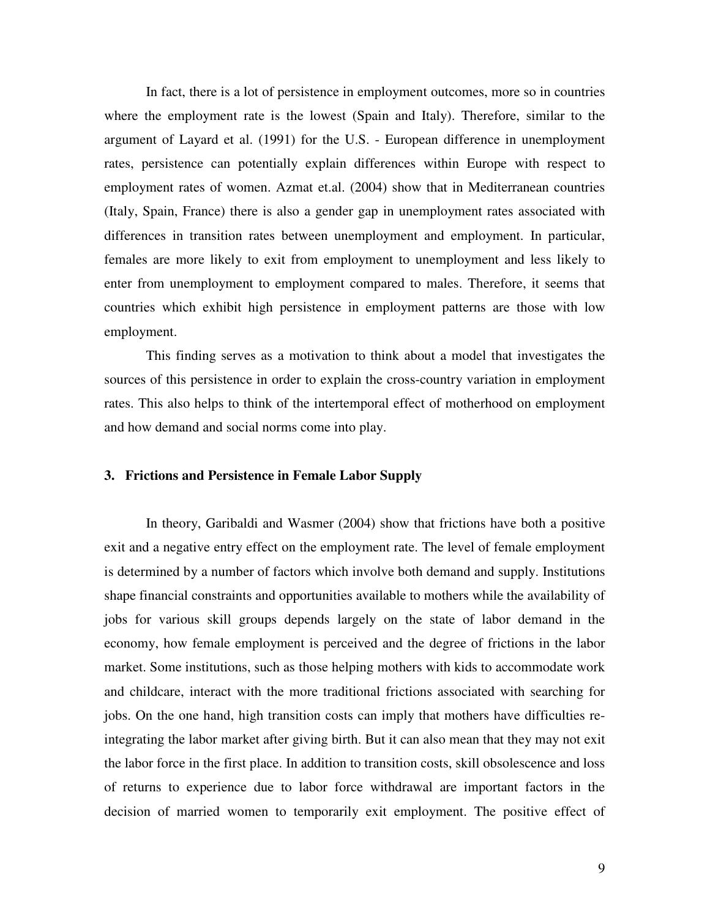In fact, there is a lot of persistence in employment outcomes, more so in countries where the employment rate is the lowest (Spain and Italy). Therefore, similar to the argument of Layard et al. (1991) for the U.S. - European difference in unemployment rates, persistence can potentially explain differences within Europe with respect to employment rates of women. Azmat et.al. (2004) show that in Mediterranean countries (Italy, Spain, France) there is also a gender gap in unemployment rates associated with differences in transition rates between unemployment and employment. In particular, females are more likely to exit from employment to unemployment and less likely to enter from unemployment to employment compared to males. Therefore, it seems that countries which exhibit high persistence in employment patterns are those with low employment.

This finding serves as a motivation to think about a model that investigates the sources of this persistence in order to explain the cross-country variation in employment rates. This also helps to think of the intertemporal effect of motherhood on employment and how demand and social norms come into play.

#### **3. Frictions and Persistence in Female Labor Supply**

In theory, Garibaldi and Wasmer (2004) show that frictions have both a positive exit and a negative entry effect on the employment rate. The level of female employment is determined by a number of factors which involve both demand and supply. Institutions shape financial constraints and opportunities available to mothers while the availability of jobs for various skill groups depends largely on the state of labor demand in the economy, how female employment is perceived and the degree of frictions in the labor market. Some institutions, such as those helping mothers with kids to accommodate work and childcare, interact with the more traditional frictions associated with searching for jobs. On the one hand, high transition costs can imply that mothers have difficulties reintegrating the labor market after giving birth. But it can also mean that they may not exit the labor force in the first place. In addition to transition costs, skill obsolescence and loss of returns to experience due to labor force withdrawal are important factors in the decision of married women to temporarily exit employment. The positive effect of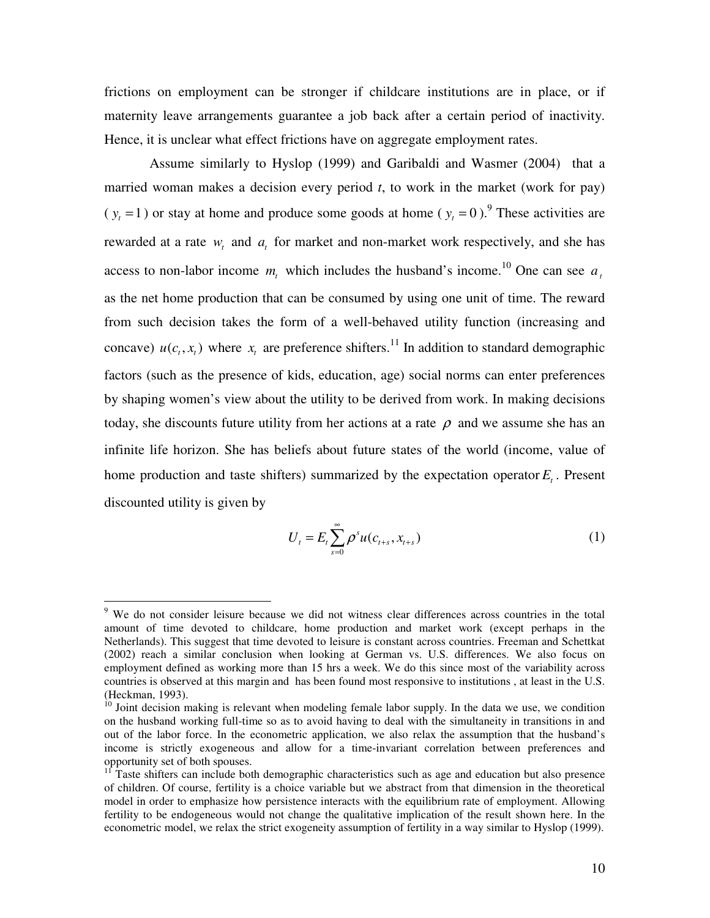frictions on employment can be stronger if childcare institutions are in place, or if maternity leave arrangements guarantee a job back after a certain period of inactivity. Hence, it is unclear what effect frictions have on aggregate employment rates.

 Assume similarly to Hyslop (1999) and Garibaldi and Wasmer (2004) that a married woman makes a decision every period *t*, to work in the market (work for pay)  $(y<sub>t</sub> = 1)$  or stay at home and produce some goods at home  $(y<sub>t</sub> = 0)$ .<sup>9</sup> These activities are rewarded at a rate  $w_t$  and  $a_t$  for market and non-market work respectively, and she has access to non-labor income  $m_t$  which includes the husband's income.<sup>10</sup> One can see  $a_t$ as the net home production that can be consumed by using one unit of time. The reward from such decision takes the form of a well-behaved utility function (increasing and concave)  $u(c_t, x_t)$  where  $x_t$  are preference shifters.<sup>11</sup> In addition to standard demographic factors (such as the presence of kids, education, age) social norms can enter preferences by shaping women's view about the utility to be derived from work. In making decisions today, she discounts future utility from her actions at a rate  $\rho$  and we assume she has an infinite life horizon. She has beliefs about future states of the world (income, value of home production and taste shifters) summarized by the expectation operator *E<sup>t</sup>* . Present discounted utility is given by

$$
U_{t} = E_{t} \sum_{s=0}^{\infty} \rho^{s} u(c_{t+s}, x_{t+s})
$$
 (1)

 9 We do not consider leisure because we did not witness clear differences across countries in the total amount of time devoted to childcare, home production and market work (except perhaps in the Netherlands). This suggest that time devoted to leisure is constant across countries. Freeman and Schettkat (2002) reach a similar conclusion when looking at German vs. U.S. differences. We also focus on employment defined as working more than 15 hrs a week. We do this since most of the variability across countries is observed at this margin and has been found most responsive to institutions , at least in the U.S. (Heckman, 1993).

<sup>&</sup>lt;sup>10</sup> Joint decision making is relevant when modeling female labor supply. In the data we use, we condition on the husband working full-time so as to avoid having to deal with the simultaneity in transitions in and out of the labor force. In the econometric application, we also relax the assumption that the husband's income is strictly exogeneous and allow for a time-invariant correlation between preferences and opportunity set of both spouses.

<sup>11</sup> Taste shifters can include both demographic characteristics such as age and education but also presence of children. Of course, fertility is a choice variable but we abstract from that dimension in the theoretical model in order to emphasize how persistence interacts with the equilibrium rate of employment. Allowing fertility to be endogeneous would not change the qualitative implication of the result shown here. In the econometric model, we relax the strict exogeneity assumption of fertility in a way similar to Hyslop (1999).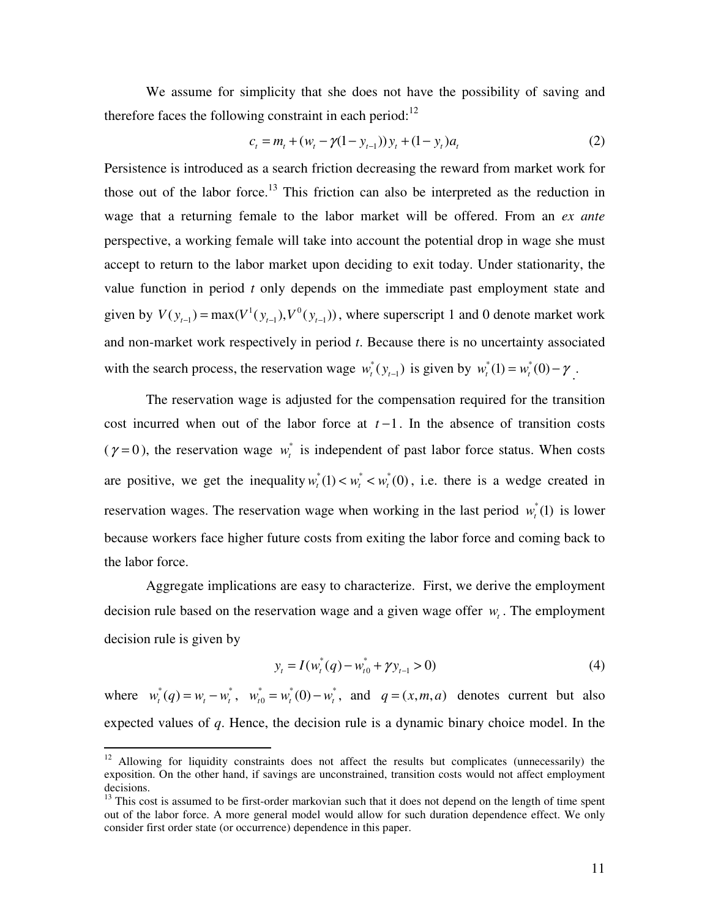We assume for simplicity that she does not have the possibility of saving and therefore faces the following constraint in each period: $12$ 

$$
c_t = m_t + (w_t - \gamma(1 - y_{t-1}))y_t + (1 - y_t)a_t
$$
\n(2)

Persistence is introduced as a search friction decreasing the reward from market work for those out of the labor force.<sup>13</sup> This friction can also be interpreted as the reduction in wage that a returning female to the labor market will be offered. From an *ex ante* perspective, a working female will take into account the potential drop in wage she must accept to return to the labor market upon deciding to exit today. Under stationarity, the value function in period *t* only depends on the immediate past employment state and given by  $V(y_{t-1}) = \max(V^1(y_{t-1}), V^0(y_{t-1}))$ , where superscript 1 and 0 denote market work and non-market work respectively in period *t*. Because there is no uncertainty associated with the search process, the reservation wage  $w_t^*(y_{t-1})$  is given by  $w_t^*(1) = w_t^*(0) - \gamma$ .

The reservation wage is adjusted for the compensation required for the transition cost incurred when out of the labor force at *t* −1. In the absence of transition costs ( $\gamma = 0$ ), the reservation wage  $w_t^*$  is independent of past labor force status. When costs are positive, we get the inequality  $w_t^*(1) < w_t^* < w_t^*(0)$ , i.e. there is a wedge created in reservation wages. The reservation wage when working in the last period  $w_t^*(1)$  is lower because workers face higher future costs from exiting the labor force and coming back to the labor force.

Aggregate implications are easy to characterize. First, we derive the employment decision rule based on the reservation wage and a given wage offer  $w_t$ . The employment decision rule is given by

$$
y_{t} = I(w_{t}^{*}(q) - w_{t0}^{*} + \gamma y_{t-1} > 0)
$$
\n<sup>(4)</sup>

where  $w_t^*(q) = w_t - w_t^*$ ,  $w_{t0}^* = w_t^*(0) - w_t^*$  $w_{t0}^* = w_t^*(0) - w_t^*$ , and  $q = (x, m, a)$  denotes current but also expected values of *q*. Hence, the decision rule is a dynamic binary choice model. In the

<sup>&</sup>lt;sup>12</sup> Allowing for liquidity constraints does not affect the results but complicates (unnecessarily) the exposition. On the other hand, if savings are unconstrained, transition costs would not affect employment decisions.

<sup>&</sup>lt;sup>13</sup> This cost is assumed to be first-order markovian such that it does not depend on the length of time spent out of the labor force. A more general model would allow for such duration dependence effect. We only consider first order state (or occurrence) dependence in this paper.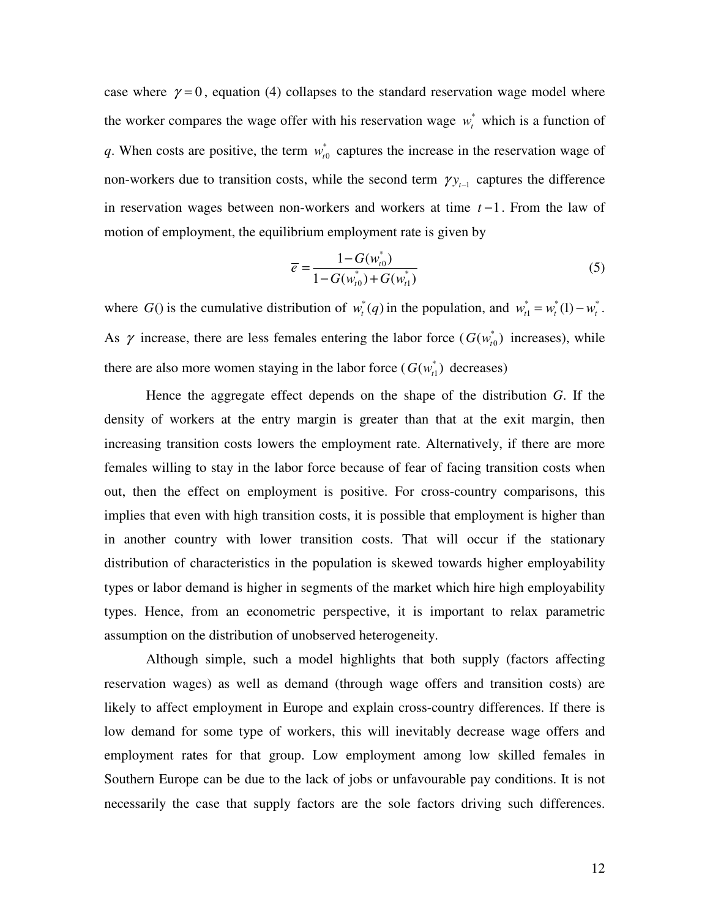case where  $\gamma = 0$ , equation (4) collapses to the standard reservation wage model where the worker compares the wage offer with his reservation wage  $w_t^*$  which is a function of q. When costs are positive, the term  $w_{t0}^*$  captures the increase in the reservation wage of non-workers due to transition costs, while the second term  $\gamma y_{t-1}$  captures the difference in reservation wages between non-workers and workers at time *t* −1. From the law of motion of employment, the equilibrium employment rate is given by

$$
\overline{e} = \frac{1 - G(w_{t0}^*)}{1 - G(w_{t0}^*) + G(w_{t1}^*)}
$$
(5)

where  $G()$  is the cumulative distribution of  $w_t^*(q)$  in the population, and  $w_{t1}^* = w_t^*(1) - w_t^*$ . As  $\gamma$  increase, there are less females entering the labor force ( $G(w_{tt}^*)$  $G(w_{t0}^*)$  increases), while there are also more women staying in the labor force  $(G(w_{t_1}^*)$  decreases)

Hence the aggregate effect depends on the shape of the distribution *G*. If the density of workers at the entry margin is greater than that at the exit margin, then increasing transition costs lowers the employment rate. Alternatively, if there are more females willing to stay in the labor force because of fear of facing transition costs when out, then the effect on employment is positive. For cross-country comparisons, this implies that even with high transition costs, it is possible that employment is higher than in another country with lower transition costs. That will occur if the stationary distribution of characteristics in the population is skewed towards higher employability types or labor demand is higher in segments of the market which hire high employability types. Hence, from an econometric perspective, it is important to relax parametric assumption on the distribution of unobserved heterogeneity.

Although simple, such a model highlights that both supply (factors affecting reservation wages) as well as demand (through wage offers and transition costs) are likely to affect employment in Europe and explain cross-country differences. If there is low demand for some type of workers, this will inevitably decrease wage offers and employment rates for that group. Low employment among low skilled females in Southern Europe can be due to the lack of jobs or unfavourable pay conditions. It is not necessarily the case that supply factors are the sole factors driving such differences.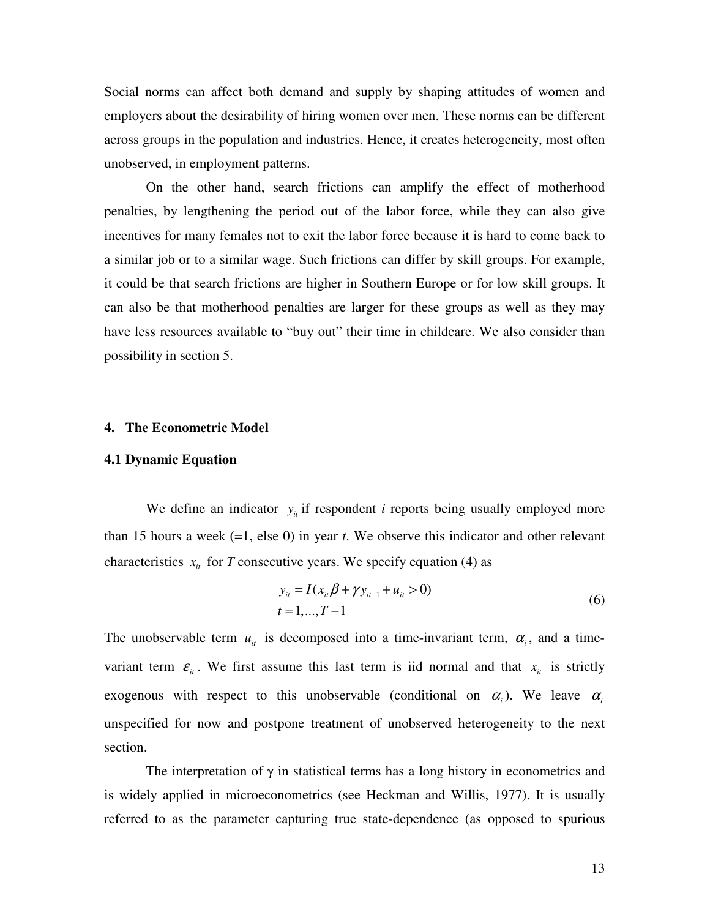Social norms can affect both demand and supply by shaping attitudes of women and employers about the desirability of hiring women over men. These norms can be different across groups in the population and industries. Hence, it creates heterogeneity, most often unobserved, in employment patterns.

On the other hand, search frictions can amplify the effect of motherhood penalties, by lengthening the period out of the labor force, while they can also give incentives for many females not to exit the labor force because it is hard to come back to a similar job or to a similar wage. Such frictions can differ by skill groups. For example, it could be that search frictions are higher in Southern Europe or for low skill groups. It can also be that motherhood penalties are larger for these groups as well as they may have less resources available to "buy out" their time in childcare. We also consider than possibility in section 5.

#### **4. The Econometric Model**

#### **4.1 Dynamic Equation**

We define an indicator  $y_i$  if respondent *i* reports being usually employed more than 15 hours a week (=1, else 0) in year *t*. We observe this indicator and other relevant characteristics  $x_{it}$  for *T* consecutive years. We specify equation (4) as

$$
y_{ii} = I(x_{ii}\beta + \gamma y_{ii-1} + u_{ii} > 0)
$$
  
\n
$$
t = 1,...,T-1
$$
\n(6)

The unobservable term  $u_{it}$  is decomposed into a time-invariant term,  $\alpha_i$ , and a timevariant term  $\varepsilon$ <sub>*it*</sub>. We first assume this last term is iid normal and that  $x$ <sub>*it*</sub> is strictly exogenous with respect to this unobservable (conditional on  $\alpha_i$ ). We leave  $\alpha_i$ unspecified for now and postpone treatment of unobserved heterogeneity to the next section.

The interpretation of  $\gamma$  in statistical terms has a long history in econometrics and is widely applied in microeconometrics (see Heckman and Willis, 1977). It is usually referred to as the parameter capturing true state-dependence (as opposed to spurious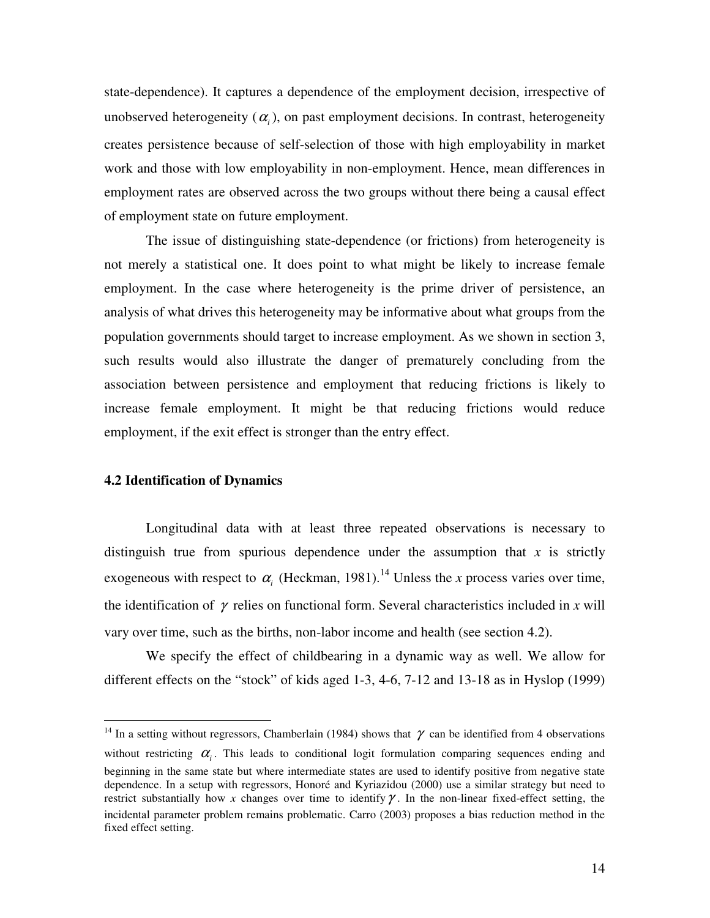state-dependence). It captures a dependence of the employment decision, irrespective of unobserved heterogeneity  $(\alpha_i)$ , on past employment decisions. In contrast, heterogeneity creates persistence because of self-selection of those with high employability in market work and those with low employability in non-employment. Hence, mean differences in employment rates are observed across the two groups without there being a causal effect of employment state on future employment.

The issue of distinguishing state-dependence (or frictions) from heterogeneity is not merely a statistical one. It does point to what might be likely to increase female employment. In the case where heterogeneity is the prime driver of persistence, an analysis of what drives this heterogeneity may be informative about what groups from the population governments should target to increase employment. As we shown in section 3, such results would also illustrate the danger of prematurely concluding from the association between persistence and employment that reducing frictions is likely to increase female employment. It might be that reducing frictions would reduce employment, if the exit effect is stronger than the entry effect.

#### **4.2 Identification of Dynamics**

 $\overline{a}$ 

Longitudinal data with at least three repeated observations is necessary to distinguish true from spurious dependence under the assumption that  $x$  is strictly exogeneous with respect to  $\alpha_i$  (Heckman, 1981).<sup>14</sup> Unless the *x* process varies over time, the identification of  $\gamma$  relies on functional form. Several characteristics included in x will vary over time, such as the births, non-labor income and health (see section 4.2).

We specify the effect of childbearing in a dynamic way as well. We allow for different effects on the "stock" of kids aged 1-3, 4-6, 7-12 and 13-18 as in Hyslop (1999)

<sup>&</sup>lt;sup>14</sup> In a setting without regressors, Chamberlain (1984) shows that  $\gamma$  can be identified from 4 observations without restricting  $\alpha$ <sub>i</sub>. This leads to conditional logit formulation comparing sequences ending and beginning in the same state but where intermediate states are used to identify positive from negative state dependence. In a setup with regressors, Honoré and Kyriazidou (2000) use a similar strategy but need to restrict substantially how x changes over time to identify  $\gamma$ . In the non-linear fixed-effect setting, the incidental parameter problem remains problematic. Carro (2003) proposes a bias reduction method in the fixed effect setting.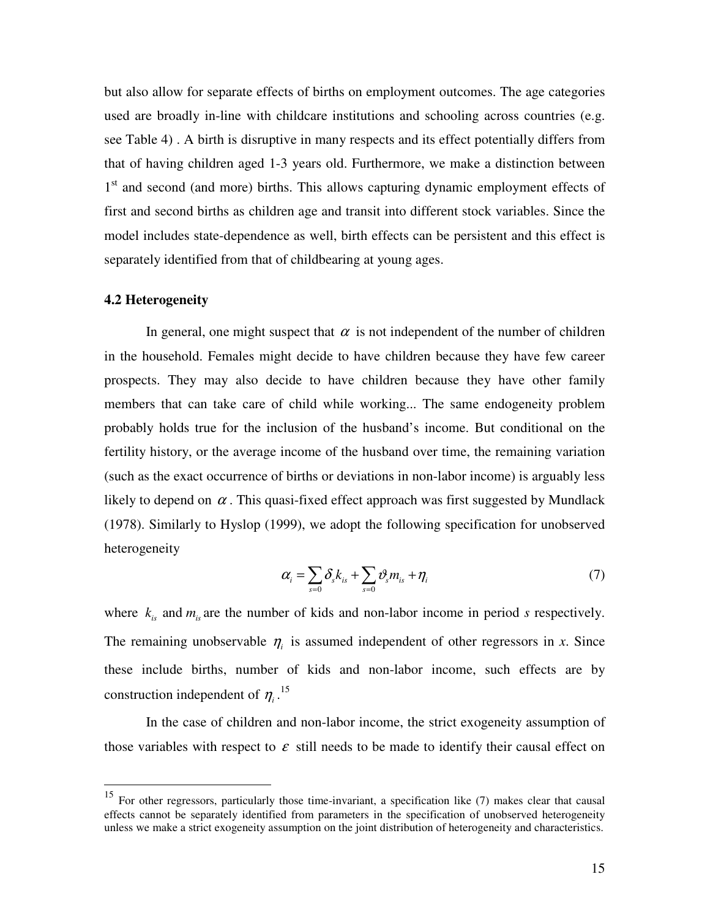but also allow for separate effects of births on employment outcomes. The age categories used are broadly in-line with childcare institutions and schooling across countries (e.g. see Table 4) . A birth is disruptive in many respects and its effect potentially differs from that of having children aged 1-3 years old. Furthermore, we make a distinction between 1<sup>st</sup> and second (and more) births. This allows capturing dynamic employment effects of first and second births as children age and transit into different stock variables. Since the model includes state-dependence as well, birth effects can be persistent and this effect is separately identified from that of childbearing at young ages.

#### **4.2 Heterogeneity**

 $\overline{a}$ 

In general, one might suspect that  $\alpha$  is not independent of the number of children in the household. Females might decide to have children because they have few career prospects. They may also decide to have children because they have other family members that can take care of child while working... The same endogeneity problem probably holds true for the inclusion of the husband's income. But conditional on the fertility history, or the average income of the husband over time, the remaining variation (such as the exact occurrence of births or deviations in non-labor income) is arguably less likely to depend on  $\alpha$ . This quasi-fixed effect approach was first suggested by Mundlack (1978). Similarly to Hyslop (1999), we adopt the following specification for unobserved heterogeneity

$$
\alpha_i = \sum_{s=0} \delta_s k_{is} + \sum_{s=0} \vartheta_s m_{is} + \eta_i \tag{7}
$$

where  $k_{i}$  and  $m_{i}$  are the number of kids and non-labor income in period *s* respectively. The remaining unobservable  $\eta$  is assumed independent of other regressors in *x*. Since these include births, number of kids and non-labor income, such effects are by construction independent of  $\eta_i$ .<sup>15</sup>

In the case of children and non-labor income, the strict exogeneity assumption of those variables with respect to  $\varepsilon$  still needs to be made to identify their causal effect on

<sup>&</sup>lt;sup>15</sup> For other regressors, particularly those time-invariant, a specification like (7) makes clear that causal effects cannot be separately identified from parameters in the specification of unobserved heterogeneity unless we make a strict exogeneity assumption on the joint distribution of heterogeneity and characteristics.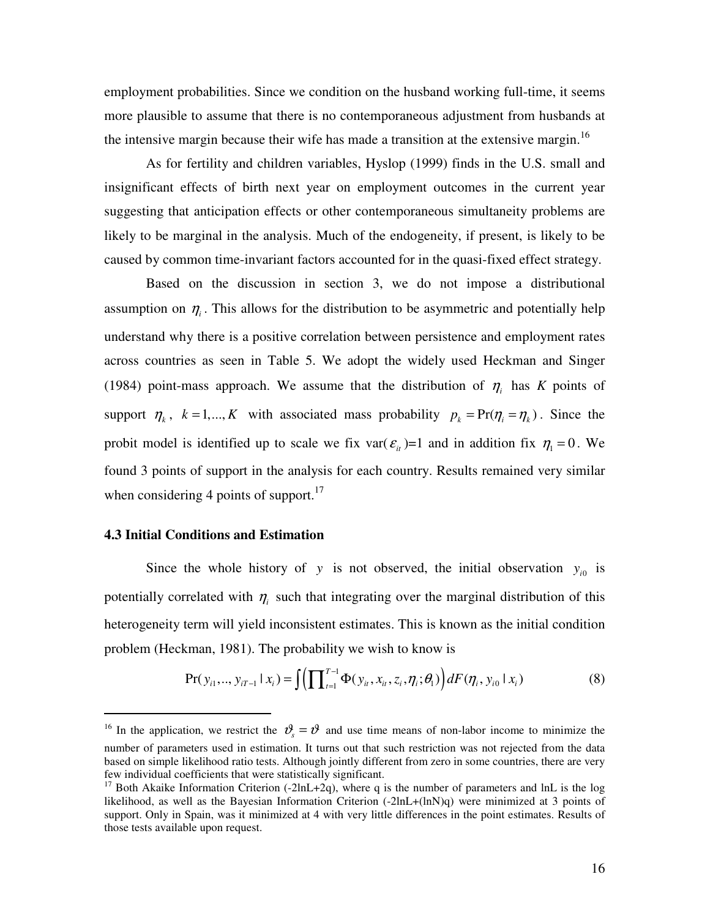employment probabilities. Since we condition on the husband working full-time, it seems more plausible to assume that there is no contemporaneous adjustment from husbands at the intensive margin because their wife has made a transition at the extensive margin.<sup>16</sup>

As for fertility and children variables, Hyslop (1999) finds in the U.S. small and insignificant effects of birth next year on employment outcomes in the current year suggesting that anticipation effects or other contemporaneous simultaneity problems are likely to be marginal in the analysis. Much of the endogeneity, if present, is likely to be caused by common time-invariant factors accounted for in the quasi-fixed effect strategy.

Based on the discussion in section 3, we do not impose a distributional assumption on  $\eta$ <sub>*i*</sub>. This allows for the distribution to be asymmetric and potentially help understand why there is a positive correlation between persistence and employment rates across countries as seen in Table 5. We adopt the widely used Heckman and Singer (1984) point-mass approach. We assume that the distribution of  $\eta$ <sub>i</sub> has *K* points of support  $\eta_k$ ,  $k = 1, ..., K$  with associated mass probability  $p_k = Pr(\eta_i = \eta_k)$ . Since the probit model is identified up to scale we fix var( $\varepsilon$ <sub>it</sub>)=1 and in addition fix  $\eta_1 = 0$ . We found 3 points of support in the analysis for each country. Results remained very similar when considering 4 points of support. $^{17}$ 

#### **4.3 Initial Conditions and Estimation**

 $\overline{a}$ 

Since the whole history of *y* is not observed, the initial observation  $y_{i0}$  is potentially correlated with  $\eta$ <sub>i</sub> such that integrating over the marginal distribution of this heterogeneity term will yield inconsistent estimates. This is known as the initial condition problem (Heckman, 1981). The probability we wish to know is

$$
\Pr(y_{i1},..., y_{iT-1} | x_i) = \int \left( \prod_{t=1}^{T-1} \Phi(y_{i_t}, x_{i_t}, z_i, \eta_i; \theta_1) \right) dF(\eta_i, y_{i0} | x_i)
$$
(8)

<sup>&</sup>lt;sup>16</sup> In the application, we restrict the  $\mathcal{V}_s = \mathcal{V}$  and use time means of non-labor income to minimize the number of parameters used in estimation. It turns out that such restriction was not rejected from the data based on simple likelihood ratio tests. Although jointly different from zero in some countries, there are very few individual coefficients that were statistically significant.

<sup>&</sup>lt;sup>17</sup> Both Akaike Information Criterion (-2lnL+2q), where q is the number of parameters and lnL is the log likelihood, as well as the Bayesian Information Criterion (-2lnL+(lnN)q) were minimized at 3 points of support. Only in Spain, was it minimized at 4 with very little differences in the point estimates. Results of those tests available upon request.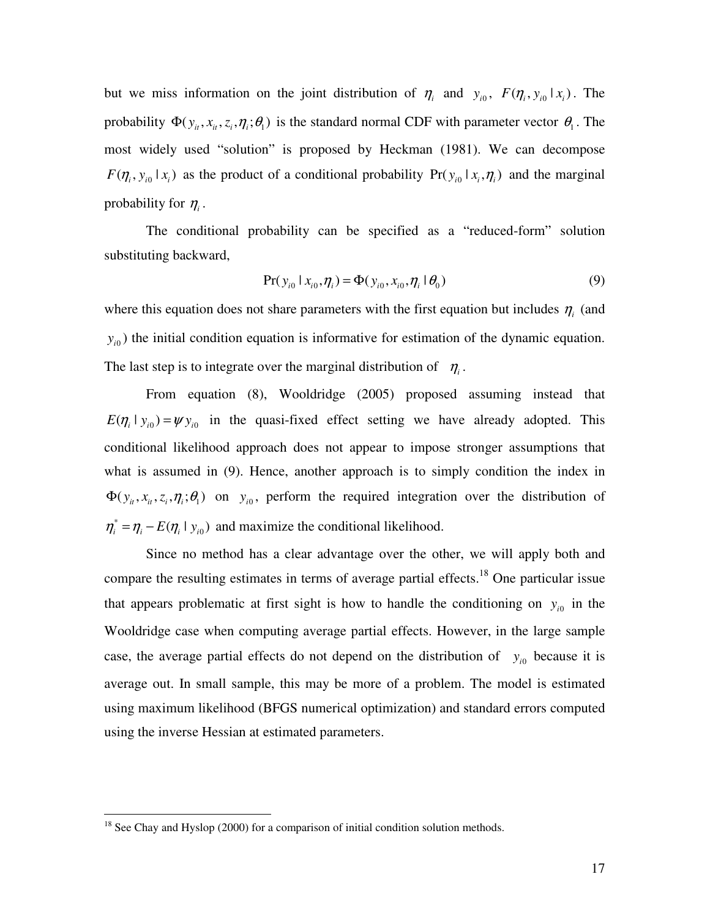but we miss information on the joint distribution of  $\eta_i$  and  $y_{i0}$ ,  $F(\eta_i, y_{i0} | x_i)$ . The probability  $\Phi(y_i, x_i, z_i, \eta_i; \theta)$  is the standard normal CDF with parameter vector  $\theta_1$ . The most widely used "solution" is proposed by Heckman (1981). We can decompose  $F(\eta_i, y_{i0} | x_i)$  as the product of a conditional probability  $Pr(y_{i0} | x_i, \eta_i)$  and the marginal probability for  $\eta_i$ .

The conditional probability can be specified as a "reduced-form" solution substituting backward,

$$
Pr(y_{i0} | x_{i0}, \eta_i) = \Phi(y_{i0}, x_{i0}, \eta_i | \theta_0)
$$
\n(9)

where this equation does not share parameters with the first equation but includes  $\eta$ <sub>i</sub> (and  $y_{i0}$ ) the initial condition equation is informative for estimation of the dynamic equation. The last step is to integrate over the marginal distribution of  $\eta_i$ .

 From equation (8), Wooldridge (2005) proposed assuming instead that  $E(\eta_i | y_{i0}) = \psi y_{i0}$  in the quasi-fixed effect setting we have already adopted. This conditional likelihood approach does not appear to impose stronger assumptions that what is assumed in (9). Hence, another approach is to simply condition the index in  $\Phi(y_i, x_i, z_i, \eta_i; \theta_1)$  on  $y_{i0}$ , perform the required integration over the distribution of \*  $\eta_i^* = \eta_i - E(\eta_i \mid y_{i0})$  and maximize the conditional likelihood.

 Since no method has a clear advantage over the other, we will apply both and compare the resulting estimates in terms of average partial effects.<sup>18</sup> One particular issue that appears problematic at first sight is how to handle the conditioning on  $y_{i0}$  in the Wooldridge case when computing average partial effects. However, in the large sample case, the average partial effects do not depend on the distribution of  $y_{i0}$  because it is average out. In small sample, this may be more of a problem. The model is estimated using maximum likelihood (BFGS numerical optimization) and standard errors computed using the inverse Hessian at estimated parameters.

<sup>&</sup>lt;sup>18</sup> See Chay and Hyslop (2000) for a comparison of initial condition solution methods.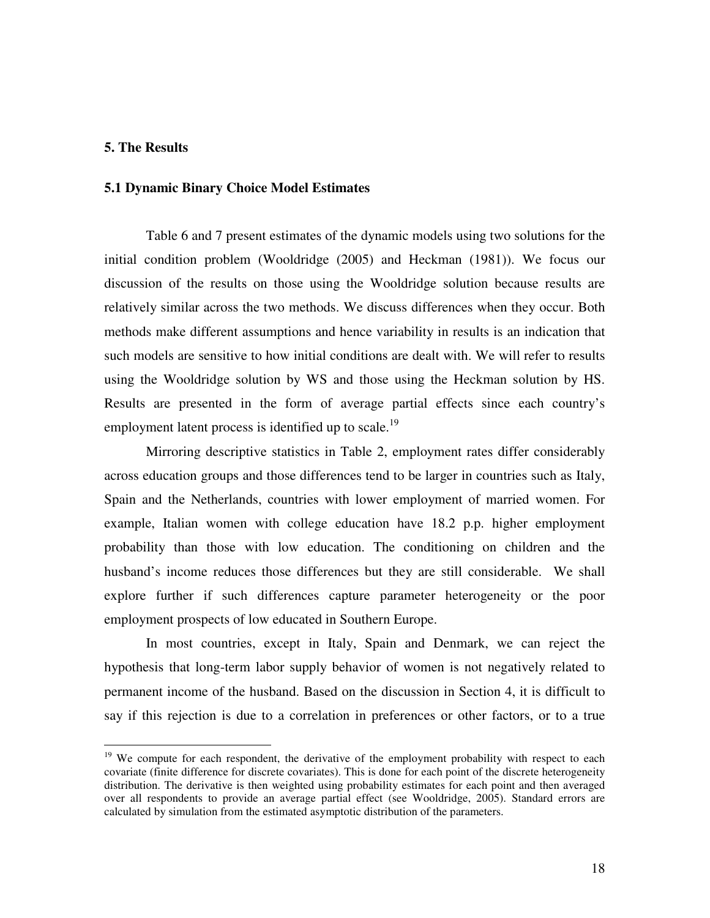### **5. The Results**

 $\overline{a}$ 

### **5.1 Dynamic Binary Choice Model Estimates**

Table 6 and 7 present estimates of the dynamic models using two solutions for the initial condition problem (Wooldridge (2005) and Heckman (1981)). We focus our discussion of the results on those using the Wooldridge solution because results are relatively similar across the two methods. We discuss differences when they occur. Both methods make different assumptions and hence variability in results is an indication that such models are sensitive to how initial conditions are dealt with. We will refer to results using the Wooldridge solution by WS and those using the Heckman solution by HS. Results are presented in the form of average partial effects since each country's employment latent process is identified up to scale.<sup>19</sup>

Mirroring descriptive statistics in Table 2, employment rates differ considerably across education groups and those differences tend to be larger in countries such as Italy, Spain and the Netherlands, countries with lower employment of married women. For example, Italian women with college education have 18.2 p.p. higher employment probability than those with low education. The conditioning on children and the husband's income reduces those differences but they are still considerable. We shall explore further if such differences capture parameter heterogeneity or the poor employment prospects of low educated in Southern Europe.

In most countries, except in Italy, Spain and Denmark, we can reject the hypothesis that long-term labor supply behavior of women is not negatively related to permanent income of the husband. Based on the discussion in Section 4, it is difficult to say if this rejection is due to a correlation in preferences or other factors, or to a true

<sup>&</sup>lt;sup>19</sup> We compute for each respondent, the derivative of the employment probability with respect to each covariate (finite difference for discrete covariates). This is done for each point of the discrete heterogeneity distribution. The derivative is then weighted using probability estimates for each point and then averaged over all respondents to provide an average partial effect (see Wooldridge, 2005). Standard errors are calculated by simulation from the estimated asymptotic distribution of the parameters.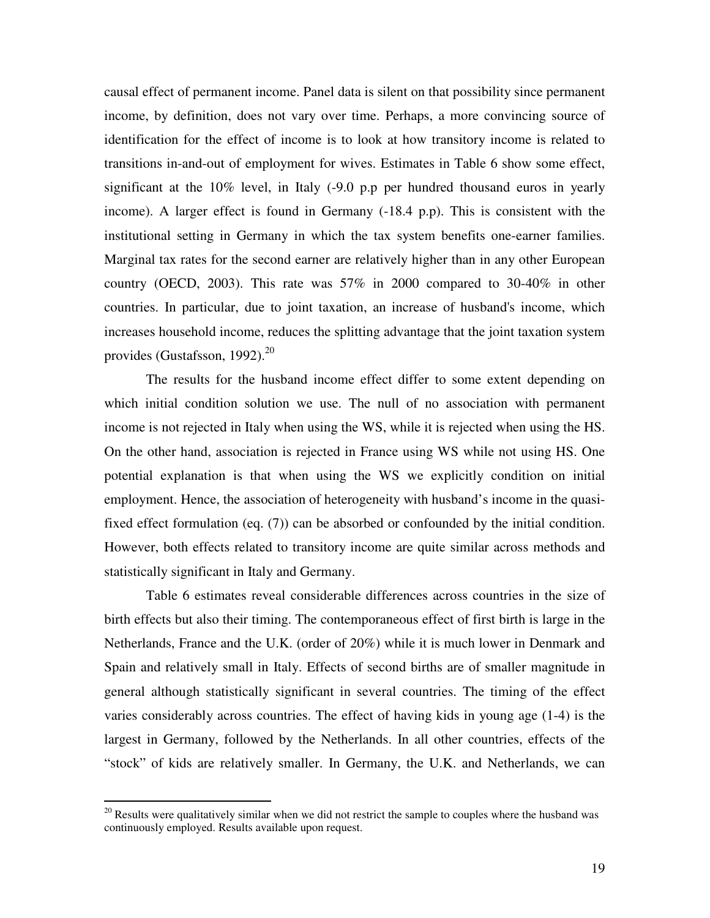causal effect of permanent income. Panel data is silent on that possibility since permanent income, by definition, does not vary over time. Perhaps, a more convincing source of identification for the effect of income is to look at how transitory income is related to transitions in-and-out of employment for wives. Estimates in Table 6 show some effect, significant at the 10% level, in Italy (-9.0 p.p per hundred thousand euros in yearly income). A larger effect is found in Germany (-18.4 p.p). This is consistent with the institutional setting in Germany in which the tax system benefits one-earner families. Marginal tax rates for the second earner are relatively higher than in any other European country (OECD, 2003). This rate was  $57\%$  in 2000 compared to 30-40% in other countries. In particular, due to joint taxation, an increase of husband's income, which increases household income, reduces the splitting advantage that the joint taxation system provides (Gustafsson, 1992). $^{20}$ 

The results for the husband income effect differ to some extent depending on which initial condition solution we use. The null of no association with permanent income is not rejected in Italy when using the WS, while it is rejected when using the HS. On the other hand, association is rejected in France using WS while not using HS. One potential explanation is that when using the WS we explicitly condition on initial employment. Hence, the association of heterogeneity with husband's income in the quasifixed effect formulation (eq. (7)) can be absorbed or confounded by the initial condition. However, both effects related to transitory income are quite similar across methods and statistically significant in Italy and Germany.

Table 6 estimates reveal considerable differences across countries in the size of birth effects but also their timing. The contemporaneous effect of first birth is large in the Netherlands, France and the U.K. (order of 20%) while it is much lower in Denmark and Spain and relatively small in Italy. Effects of second births are of smaller magnitude in general although statistically significant in several countries. The timing of the effect varies considerably across countries. The effect of having kids in young age (1-4) is the largest in Germany, followed by the Netherlands. In all other countries, effects of the "stock" of kids are relatively smaller. In Germany, the U.K. and Netherlands, we can

 $20$  Results were qualitatively similar when we did not restrict the sample to couples where the husband was continuously employed. Results available upon request.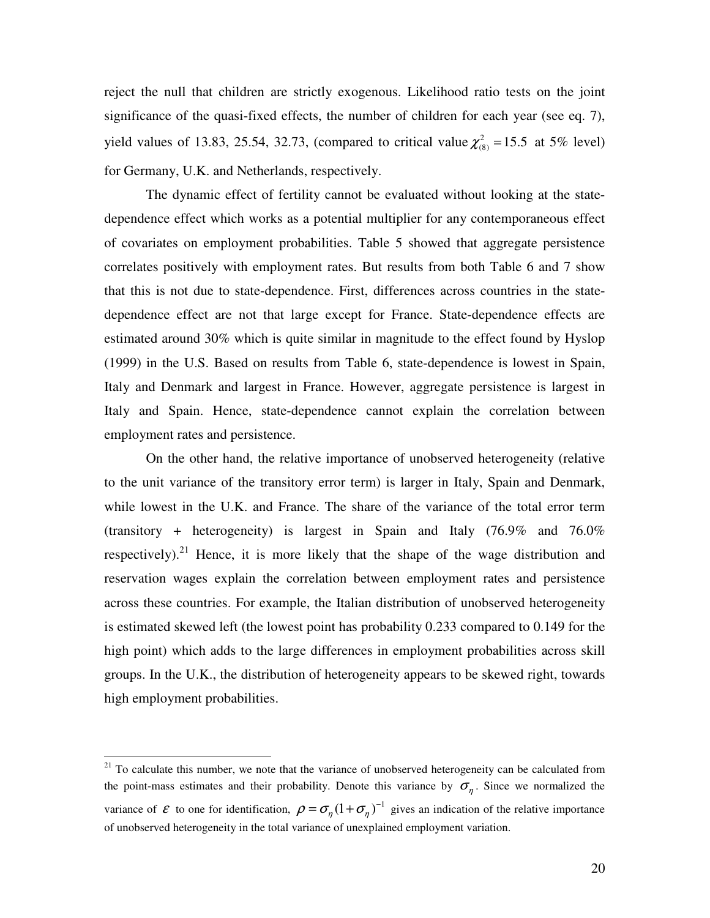reject the null that children are strictly exogenous. Likelihood ratio tests on the joint significance of the quasi-fixed effects, the number of children for each year (see eq. 7), yield values of 13.83, 25.54, 32.73, (compared to critical value  $\chi^2_{(8)} = 15.5$  at 5% level) for Germany, U.K. and Netherlands, respectively.

The dynamic effect of fertility cannot be evaluated without looking at the statedependence effect which works as a potential multiplier for any contemporaneous effect of covariates on employment probabilities. Table 5 showed that aggregate persistence correlates positively with employment rates. But results from both Table 6 and 7 show that this is not due to state-dependence. First, differences across countries in the statedependence effect are not that large except for France. State-dependence effects are estimated around 30% which is quite similar in magnitude to the effect found by Hyslop (1999) in the U.S. Based on results from Table 6, state-dependence is lowest in Spain, Italy and Denmark and largest in France. However, aggregate persistence is largest in Italy and Spain. Hence, state-dependence cannot explain the correlation between employment rates and persistence.

On the other hand, the relative importance of unobserved heterogeneity (relative to the unit variance of the transitory error term) is larger in Italy, Spain and Denmark, while lowest in the U.K. and France. The share of the variance of the total error term (transitory + heterogeneity) is largest in Spain and Italy (76.9% and 76.0% respectively).<sup>21</sup> Hence, it is more likely that the shape of the wage distribution and reservation wages explain the correlation between employment rates and persistence across these countries. For example, the Italian distribution of unobserved heterogeneity is estimated skewed left (the lowest point has probability 0.233 compared to 0.149 for the high point) which adds to the large differences in employment probabilities across skill groups. In the U.K., the distribution of heterogeneity appears to be skewed right, towards high employment probabilities.

 $21$  To calculate this number, we note that the variance of unobserved heterogeneity can be calculated from the point-mass estimates and their probability. Denote this variance by  $\sigma_{\eta}$ . Since we normalized the variance of  $\mathcal E$  to one for identification,  $\rho = \sigma_{\eta} (1 + \sigma_{\eta})^{-1}$  gives an indication of the relative importance of unobserved heterogeneity in the total variance of unexplained employment variation.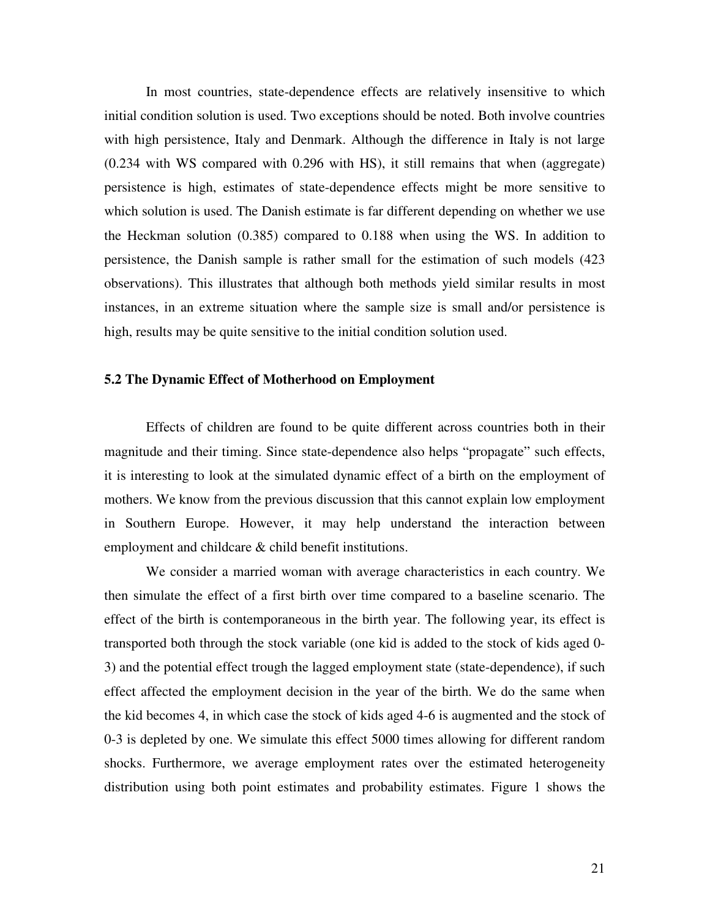In most countries, state-dependence effects are relatively insensitive to which initial condition solution is used. Two exceptions should be noted. Both involve countries with high persistence, Italy and Denmark. Although the difference in Italy is not large (0.234 with WS compared with 0.296 with HS), it still remains that when (aggregate) persistence is high, estimates of state-dependence effects might be more sensitive to which solution is used. The Danish estimate is far different depending on whether we use the Heckman solution (0.385) compared to 0.188 when using the WS. In addition to persistence, the Danish sample is rather small for the estimation of such models (423 observations). This illustrates that although both methods yield similar results in most instances, in an extreme situation where the sample size is small and/or persistence is high, results may be quite sensitive to the initial condition solution used.

#### **5.2 The Dynamic Effect of Motherhood on Employment**

Effects of children are found to be quite different across countries both in their magnitude and their timing. Since state-dependence also helps "propagate" such effects, it is interesting to look at the simulated dynamic effect of a birth on the employment of mothers. We know from the previous discussion that this cannot explain low employment in Southern Europe. However, it may help understand the interaction between employment and childcare & child benefit institutions.

We consider a married woman with average characteristics in each country. We then simulate the effect of a first birth over time compared to a baseline scenario. The effect of the birth is contemporaneous in the birth year. The following year, its effect is transported both through the stock variable (one kid is added to the stock of kids aged 0- 3) and the potential effect trough the lagged employment state (state-dependence), if such effect affected the employment decision in the year of the birth. We do the same when the kid becomes 4, in which case the stock of kids aged 4-6 is augmented and the stock of 0-3 is depleted by one. We simulate this effect 5000 times allowing for different random shocks. Furthermore, we average employment rates over the estimated heterogeneity distribution using both point estimates and probability estimates. Figure 1 shows the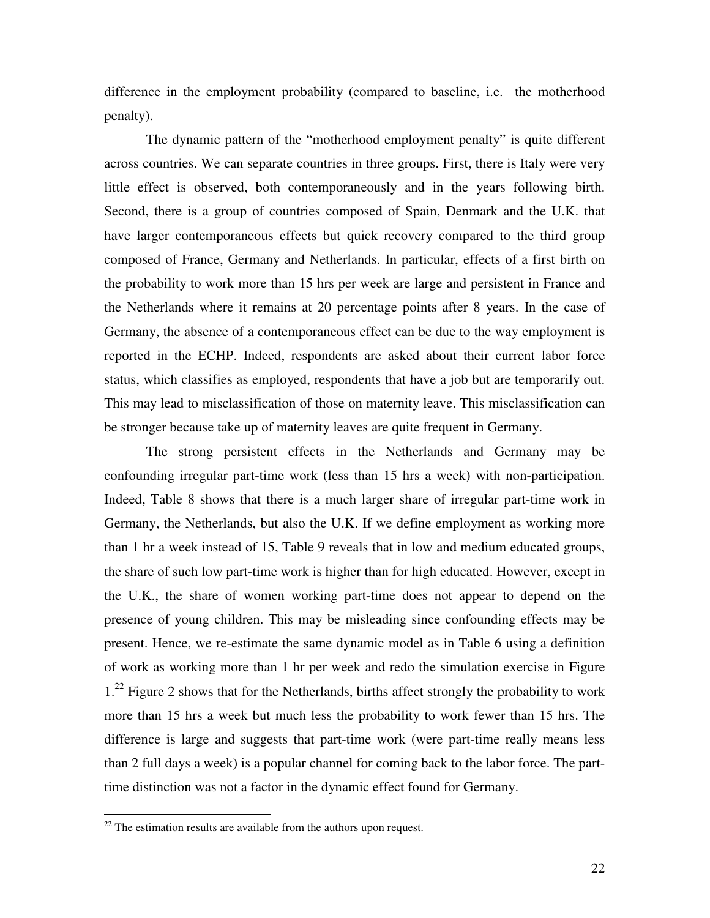difference in the employment probability (compared to baseline, i.e. the motherhood penalty).

The dynamic pattern of the "motherhood employment penalty" is quite different across countries. We can separate countries in three groups. First, there is Italy were very little effect is observed, both contemporaneously and in the years following birth. Second, there is a group of countries composed of Spain, Denmark and the U.K. that have larger contemporaneous effects but quick recovery compared to the third group composed of France, Germany and Netherlands. In particular, effects of a first birth on the probability to work more than 15 hrs per week are large and persistent in France and the Netherlands where it remains at 20 percentage points after 8 years. In the case of Germany, the absence of a contemporaneous effect can be due to the way employment is reported in the ECHP. Indeed, respondents are asked about their current labor force status, which classifies as employed, respondents that have a job but are temporarily out. This may lead to misclassification of those on maternity leave. This misclassification can be stronger because take up of maternity leaves are quite frequent in Germany.

The strong persistent effects in the Netherlands and Germany may be confounding irregular part-time work (less than 15 hrs a week) with non-participation. Indeed, Table 8 shows that there is a much larger share of irregular part-time work in Germany, the Netherlands, but also the U.K. If we define employment as working more than 1 hr a week instead of 15, Table 9 reveals that in low and medium educated groups, the share of such low part-time work is higher than for high educated. However, except in the U.K., the share of women working part-time does not appear to depend on the presence of young children. This may be misleading since confounding effects may be present. Hence, we re-estimate the same dynamic model as in Table 6 using a definition of work as working more than 1 hr per week and redo the simulation exercise in Figure 1.<sup>22</sup> Figure 2 shows that for the Netherlands, births affect strongly the probability to work more than 15 hrs a week but much less the probability to work fewer than 15 hrs. The difference is large and suggests that part-time work (were part-time really means less than 2 full days a week) is a popular channel for coming back to the labor force. The parttime distinction was not a factor in the dynamic effect found for Germany.

 $22$  The estimation results are available from the authors upon request.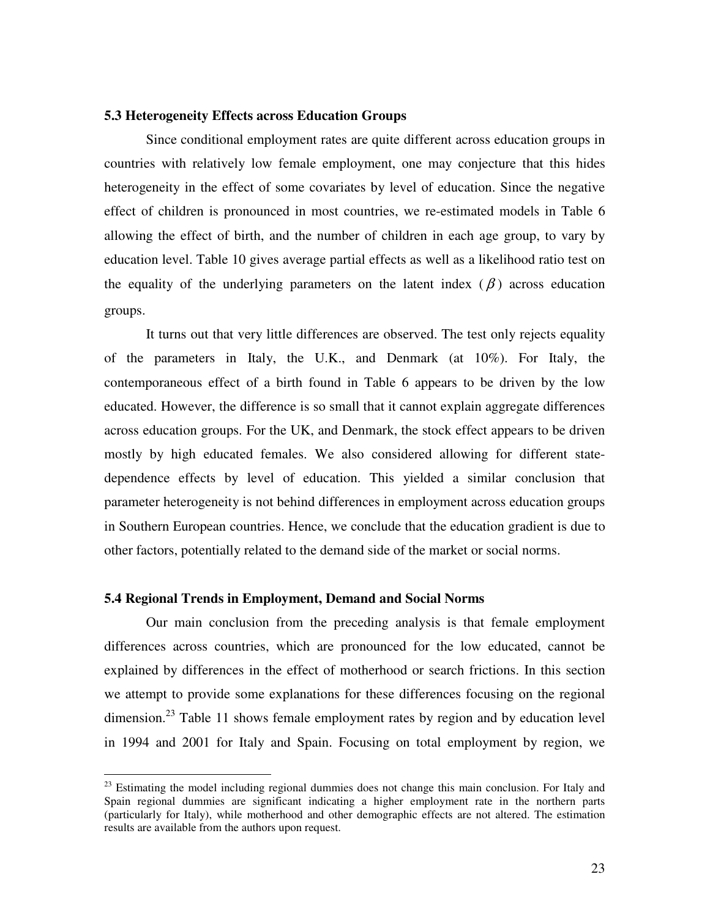# **5.3 Heterogeneity Effects across Education Groups**

Since conditional employment rates are quite different across education groups in countries with relatively low female employment, one may conjecture that this hides heterogeneity in the effect of some covariates by level of education. Since the negative effect of children is pronounced in most countries, we re-estimated models in Table 6 allowing the effect of birth, and the number of children in each age group, to vary by education level. Table 10 gives average partial effects as well as a likelihood ratio test on the equality of the underlying parameters on the latent index  $(\beta)$  across education groups.

It turns out that very little differences are observed. The test only rejects equality of the parameters in Italy, the U.K., and Denmark (at 10%). For Italy, the contemporaneous effect of a birth found in Table 6 appears to be driven by the low educated. However, the difference is so small that it cannot explain aggregate differences across education groups. For the UK, and Denmark, the stock effect appears to be driven mostly by high educated females. We also considered allowing for different statedependence effects by level of education. This yielded a similar conclusion that parameter heterogeneity is not behind differences in employment across education groups in Southern European countries. Hence, we conclude that the education gradient is due to other factors, potentially related to the demand side of the market or social norms.

#### **5.4 Regional Trends in Employment, Demand and Social Norms**

 $\overline{a}$ 

Our main conclusion from the preceding analysis is that female employment differences across countries, which are pronounced for the low educated, cannot be explained by differences in the effect of motherhood or search frictions. In this section we attempt to provide some explanations for these differences focusing on the regional dimension.<sup>23</sup> Table 11 shows female employment rates by region and by education level in 1994 and 2001 for Italy and Spain. Focusing on total employment by region, we

 $23$  Estimating the model including regional dummies does not change this main conclusion. For Italy and Spain regional dummies are significant indicating a higher employment rate in the northern parts (particularly for Italy), while motherhood and other demographic effects are not altered. The estimation results are available from the authors upon request.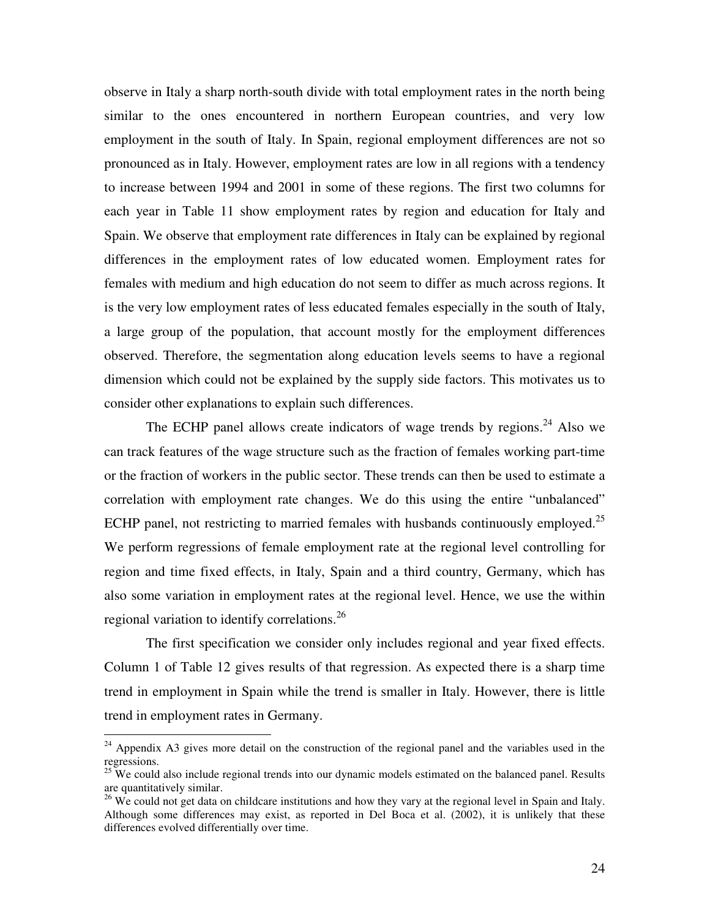observe in Italy a sharp north-south divide with total employment rates in the north being similar to the ones encountered in northern European countries, and very low employment in the south of Italy. In Spain, regional employment differences are not so pronounced as in Italy. However, employment rates are low in all regions with a tendency to increase between 1994 and 2001 in some of these regions. The first two columns for each year in Table 11 show employment rates by region and education for Italy and Spain. We observe that employment rate differences in Italy can be explained by regional differences in the employment rates of low educated women. Employment rates for females with medium and high education do not seem to differ as much across regions. It is the very low employment rates of less educated females especially in the south of Italy, a large group of the population, that account mostly for the employment differences observed. Therefore, the segmentation along education levels seems to have a regional dimension which could not be explained by the supply side factors. This motivates us to consider other explanations to explain such differences.

The ECHP panel allows create indicators of wage trends by regions.<sup>24</sup> Also we can track features of the wage structure such as the fraction of females working part-time or the fraction of workers in the public sector. These trends can then be used to estimate a correlation with employment rate changes. We do this using the entire "unbalanced" ECHP panel, not restricting to married females with husbands continuously employed.<sup>25</sup> We perform regressions of female employment rate at the regional level controlling for region and time fixed effects, in Italy, Spain and a third country, Germany, which has also some variation in employment rates at the regional level. Hence, we use the within regional variation to identify correlations.<sup>26</sup>

The first specification we consider only includes regional and year fixed effects. Column 1 of Table 12 gives results of that regression. As expected there is a sharp time trend in employment in Spain while the trend is smaller in Italy. However, there is little trend in employment rates in Germany.

<sup>&</sup>lt;sup>24</sup> Appendix A3 gives more detail on the construction of the regional panel and the variables used in the regressions.

 $25$  We could also include regional trends into our dynamic models estimated on the balanced panel. Results are quantitatively similar.

<sup>&</sup>lt;sup>26</sup> We could not get data on childcare institutions and how they vary at the regional level in Spain and Italy. Although some differences may exist, as reported in Del Boca et al. (2002), it is unlikely that these differences evolved differentially over time.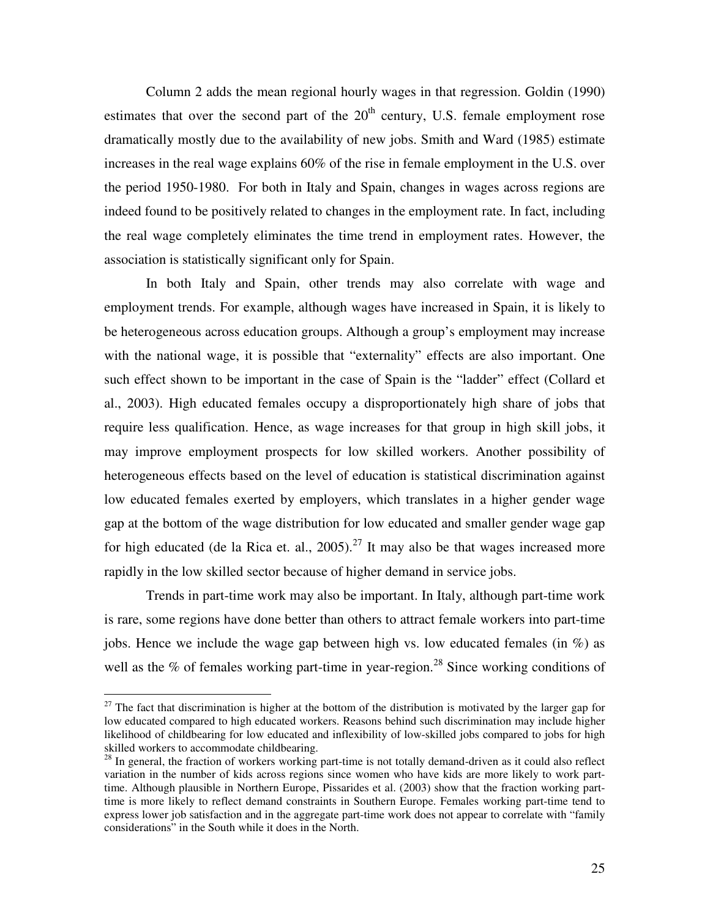Column 2 adds the mean regional hourly wages in that regression. Goldin (1990) estimates that over the second part of the  $20<sup>th</sup>$  century, U.S. female employment rose dramatically mostly due to the availability of new jobs. Smith and Ward (1985) estimate increases in the real wage explains 60% of the rise in female employment in the U.S. over the period 1950-1980. For both in Italy and Spain, changes in wages across regions are indeed found to be positively related to changes in the employment rate. In fact, including the real wage completely eliminates the time trend in employment rates. However, the association is statistically significant only for Spain.

In both Italy and Spain, other trends may also correlate with wage and employment trends. For example, although wages have increased in Spain, it is likely to be heterogeneous across education groups. Although a group's employment may increase with the national wage, it is possible that "externality" effects are also important. One such effect shown to be important in the case of Spain is the "ladder" effect (Collard et al., 2003). High educated females occupy a disproportionately high share of jobs that require less qualification. Hence, as wage increases for that group in high skill jobs, it may improve employment prospects for low skilled workers. Another possibility of heterogeneous effects based on the level of education is statistical discrimination against low educated females exerted by employers, which translates in a higher gender wage gap at the bottom of the wage distribution for low educated and smaller gender wage gap for high educated (de la Rica et. al.,  $2005$ ).<sup>27</sup> It may also be that wages increased more rapidly in the low skilled sector because of higher demand in service jobs.

Trends in part-time work may also be important. In Italy, although part-time work is rare, some regions have done better than others to attract female workers into part-time jobs. Hence we include the wage gap between high vs. low educated females (in %) as well as the % of females working part-time in year-region.<sup>28</sup> Since working conditions of

<sup>&</sup>lt;sup>27</sup> The fact that discrimination is higher at the bottom of the distribution is motivated by the larger gap for low educated compared to high educated workers. Reasons behind such discrimination may include higher likelihood of childbearing for low educated and inflexibility of low-skilled jobs compared to jobs for high skilled workers to accommodate childbearing.

<sup>&</sup>lt;sup>28</sup> In general, the fraction of workers working part-time is not totally demand-driven as it could also reflect variation in the number of kids across regions since women who have kids are more likely to work parttime. Although plausible in Northern Europe, Pissarides et al. (2003) show that the fraction working parttime is more likely to reflect demand constraints in Southern Europe. Females working part-time tend to express lower job satisfaction and in the aggregate part-time work does not appear to correlate with "family considerations" in the South while it does in the North.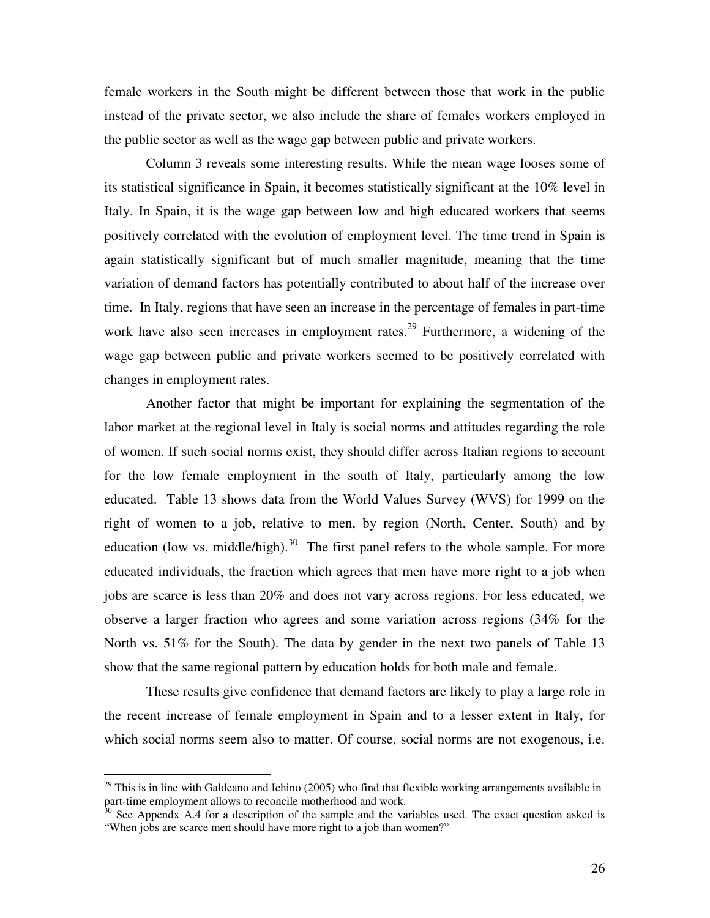female workers in the South might be different between those that work in the public instead of the private sector, we also include the share of females workers employed in the public sector as well as the wage gap between public and private workers.

Column 3 reveals some interesting results. While the mean wage looses some of its statistical significance in Spain, it becomes statistically significant at the 10% level in Italy. In Spain, it is the wage gap between low and high educated workers that seems positively correlated with the evolution of employment level. The time trend in Spain is again statistically significant but of much smaller magnitude, meaning that the time variation of demand factors has potentially contributed to about half of the increase over time. In Italy, regions that have seen an increase in the percentage of females in part-time work have also seen increases in employment rates.<sup>29</sup> Furthermore, a widening of the wage gap between public and private workers seemed to be positively correlated with changes in employment rates.

Another factor that might be important for explaining the segmentation of the labor market at the regional level in Italy is social norms and attitudes regarding the role of women. If such social norms exist, they should differ across Italian regions to account for the low female employment in the south of Italy, particularly among the low educated. Table 13 shows data from the World Values Survey (WVS) for 1999 on the right of women to a job, relative to men, by region (North, Center, South) and by education (low vs. middle/high).<sup>30</sup> The first panel refers to the whole sample. For more educated individuals, the fraction which agrees that men have more right to a job when jobs are scarce is less than 20% and does not vary across regions. For less educated, we observe a larger fraction who agrees and some variation across regions (34% for the North vs. 51% for the South). The data by gender in the next two panels of Table 13 show that the same regional pattern by education holds for both male and female.

These results give confidence that demand factors are likely to play a large role in the recent increase of female employment in Spain and to a lesser extent in Italy, for which social norms seem also to matter. Of course, social norms are not exogenous, i.e.

 $^{29}$  This is in line with Galdeano and Ichino (2005) who find that flexible working arrangements available in part-time employment allows to reconcile motherhood and work.

 $30$  See Appendx A.4 for a description of the sample and the variables used. The exact question asked is "When jobs are scarce men should have more right to a job than women?"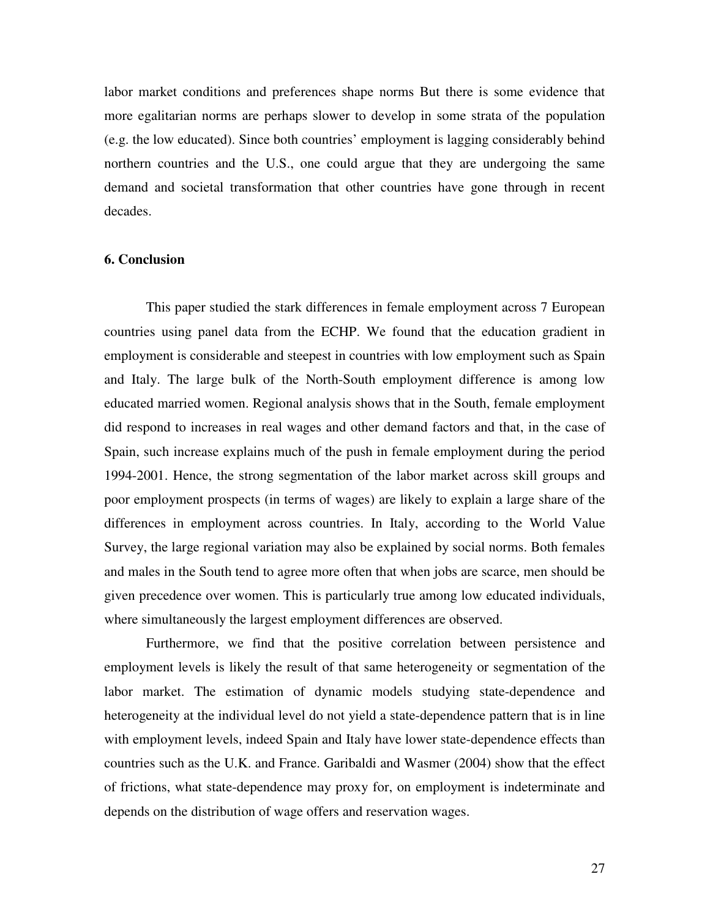labor market conditions and preferences shape norms But there is some evidence that more egalitarian norms are perhaps slower to develop in some strata of the population (e.g. the low educated). Since both countries' employment is lagging considerably behind northern countries and the U.S., one could argue that they are undergoing the same demand and societal transformation that other countries have gone through in recent decades.

### **6. Conclusion**

This paper studied the stark differences in female employment across 7 European countries using panel data from the ECHP. We found that the education gradient in employment is considerable and steepest in countries with low employment such as Spain and Italy. The large bulk of the North-South employment difference is among low educated married women. Regional analysis shows that in the South, female employment did respond to increases in real wages and other demand factors and that, in the case of Spain, such increase explains much of the push in female employment during the period 1994-2001. Hence, the strong segmentation of the labor market across skill groups and poor employment prospects (in terms of wages) are likely to explain a large share of the differences in employment across countries. In Italy, according to the World Value Survey, the large regional variation may also be explained by social norms. Both females and males in the South tend to agree more often that when jobs are scarce, men should be given precedence over women. This is particularly true among low educated individuals, where simultaneously the largest employment differences are observed.

Furthermore, we find that the positive correlation between persistence and employment levels is likely the result of that same heterogeneity or segmentation of the labor market. The estimation of dynamic models studying state-dependence and heterogeneity at the individual level do not yield a state-dependence pattern that is in line with employment levels, indeed Spain and Italy have lower state-dependence effects than countries such as the U.K. and France. Garibaldi and Wasmer (2004) show that the effect of frictions, what state-dependence may proxy for, on employment is indeterminate and depends on the distribution of wage offers and reservation wages.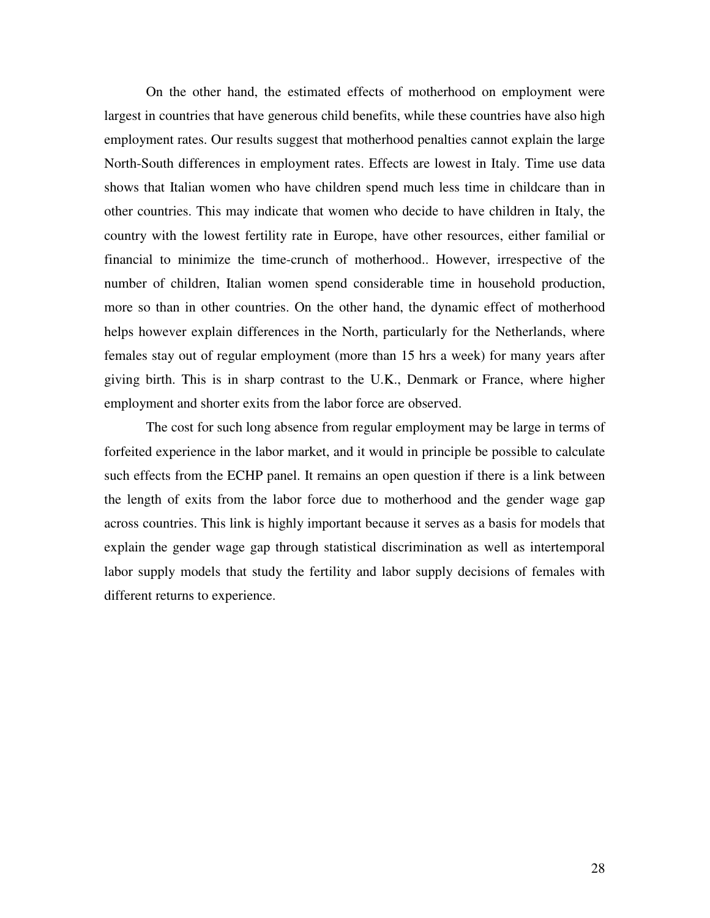On the other hand, the estimated effects of motherhood on employment were largest in countries that have generous child benefits, while these countries have also high employment rates. Our results suggest that motherhood penalties cannot explain the large North-South differences in employment rates. Effects are lowest in Italy. Time use data shows that Italian women who have children spend much less time in childcare than in other countries. This may indicate that women who decide to have children in Italy, the country with the lowest fertility rate in Europe, have other resources, either familial or financial to minimize the time-crunch of motherhood.. However, irrespective of the number of children, Italian women spend considerable time in household production, more so than in other countries. On the other hand, the dynamic effect of motherhood helps however explain differences in the North, particularly for the Netherlands, where females stay out of regular employment (more than 15 hrs a week) for many years after giving birth. This is in sharp contrast to the U.K., Denmark or France, where higher employment and shorter exits from the labor force are observed.

The cost for such long absence from regular employment may be large in terms of forfeited experience in the labor market, and it would in principle be possible to calculate such effects from the ECHP panel. It remains an open question if there is a link between the length of exits from the labor force due to motherhood and the gender wage gap across countries. This link is highly important because it serves as a basis for models that explain the gender wage gap through statistical discrimination as well as intertemporal labor supply models that study the fertility and labor supply decisions of females with different returns to experience.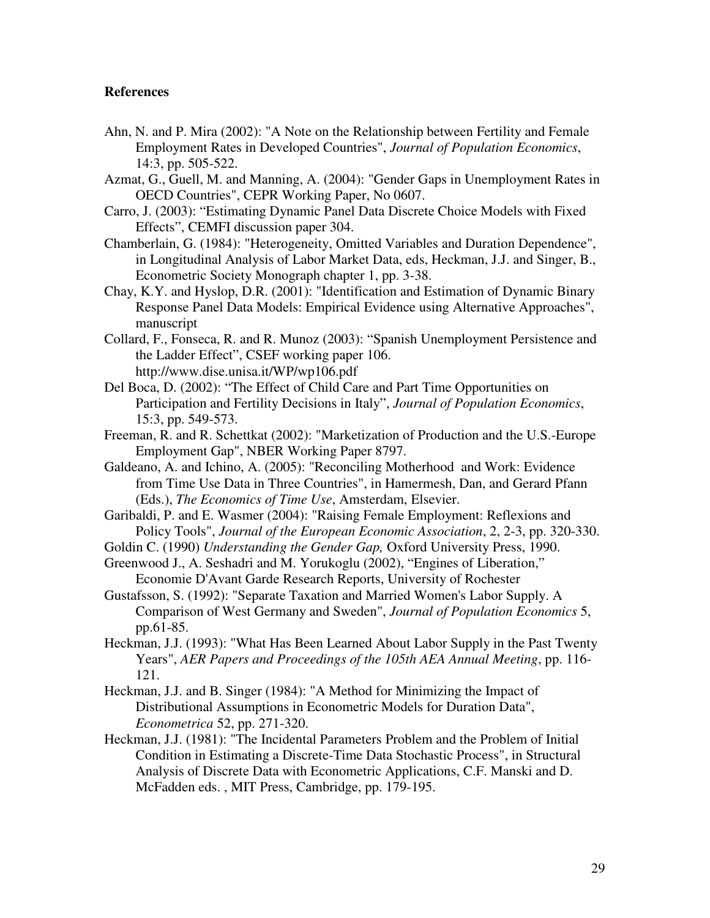# **References**

- Ahn, N. and P. Mira (2002): "A Note on the Relationship between Fertility and Female Employment Rates in Developed Countries", *Journal of Population Economics*, 14:3, pp. 505-522.
- Azmat, G., Guell, M. and Manning, A. (2004): "Gender Gaps in Unemployment Rates in OECD Countries", CEPR Working Paper, No 0607.
- Carro, J. (2003): "Estimating Dynamic Panel Data Discrete Choice Models with Fixed Effects", CEMFI discussion paper 304.
- Chamberlain, G. (1984): "Heterogeneity, Omitted Variables and Duration Dependence", in Longitudinal Analysis of Labor Market Data, eds, Heckman, J.J. and Singer, B., Econometric Society Monograph chapter 1, pp. 3-38.
- Chay, K.Y. and Hyslop, D.R. (2001): "Identification and Estimation of Dynamic Binary Response Panel Data Models: Empirical Evidence using Alternative Approaches", manuscript
- Collard, F., Fonseca, R. and R. Munoz (2003): "Spanish Unemployment Persistence and the Ladder Effect", CSEF working paper 106. http://www.dise.unisa.it/WP/wp106.pdf
- Del Boca, D. (2002): "The Effect of Child Care and Part Time Opportunities on Participation and Fertility Decisions in Italy", *Journal of Population Economics*, 15:3, pp. 549-573.
- Freeman, R. and R. Schettkat (2002): "Marketization of Production and the U.S.-Europe Employment Gap", NBER Working Paper 8797.
- Galdeano, A. and Ichino, A. (2005): "Reconciling Motherhood and Work: Evidence from Time Use Data in Three Countries", in Hamermesh, Dan, and Gerard Pfann (Eds.), *The Economics of Time Use*, Amsterdam, Elsevier.
- Garibaldi, P. and E. Wasmer (2004): "Raising Female Employment: Reflexions and Policy Tools", *Journal of the European Economic Association*, 2, 2-3, pp. 320-330.
- Goldin C. (1990) *Understanding the Gender Gap,* Oxford University Press, 1990.
- Greenwood J., A. Seshadri and M. Yorukoglu (2002), "Engines of Liberation," Economie D'Avant Garde Research Reports, University of Rochester
- Gustafsson, S. (1992): "Separate Taxation and Married Women's Labor Supply. A Comparison of West Germany and Sweden", *Journal of Population Economics* 5, pp.61-85.
- Heckman, J.J. (1993): "What Has Been Learned About Labor Supply in the Past Twenty Years", *AER Papers and Proceedings of the 105th AEA Annual Meeting*, pp. 116- 121.
- Heckman, J.J. and B. Singer (1984): "A Method for Minimizing the Impact of Distributional Assumptions in Econometric Models for Duration Data", *Econometrica* 52, pp. 271-320.
- Heckman, J.J. (1981): "The Incidental Parameters Problem and the Problem of Initial Condition in Estimating a Discrete-Time Data Stochastic Process", in Structural Analysis of Discrete Data with Econometric Applications, C.F. Manski and D. McFadden eds. , MIT Press, Cambridge, pp. 179-195.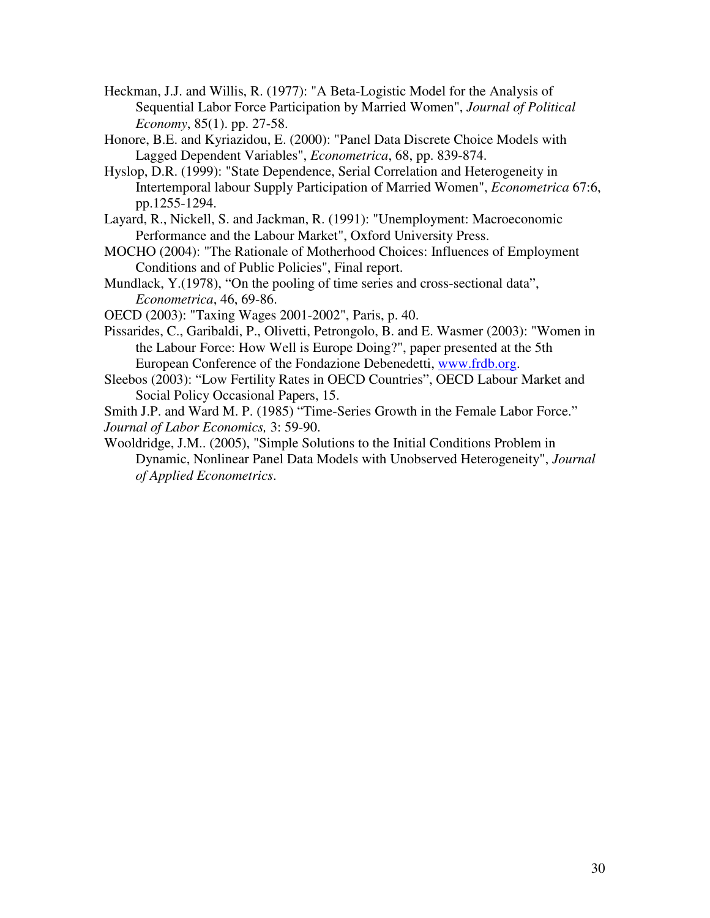- Heckman, J.J. and Willis, R. (1977): "A Beta-Logistic Model for the Analysis of Sequential Labor Force Participation by Married Women", *Journal of Political Economy*, 85(1). pp. 27-58.
- Honore, B.E. and Kyriazidou, E. (2000): "Panel Data Discrete Choice Models with Lagged Dependent Variables", *Econometrica*, 68, pp. 839-874.
- Hyslop, D.R. (1999): "State Dependence, Serial Correlation and Heterogeneity in Intertemporal labour Supply Participation of Married Women", *Econometrica* 67:6, pp.1255-1294.
- Layard, R., Nickell, S. and Jackman, R. (1991): "Unemployment: Macroeconomic Performance and the Labour Market", Oxford University Press.
- MOCHO (2004): "The Rationale of Motherhood Choices: Influences of Employment Conditions and of Public Policies", Final report.
- Mundlack, Y.(1978), "On the pooling of time series and cross-sectional data", *Econometrica*, 46, 69-86.
- OECD (2003): "Taxing Wages 2001-2002", Paris, p. 40.
- Pissarides, C., Garibaldi, P., Olivetti, Petrongolo, B. and E. Wasmer (2003): "Women in the Labour Force: How Well is Europe Doing?", paper presented at the 5th European Conference of the Fondazione Debenedetti, www.frdb.org.
- Sleebos (2003): "Low Fertility Rates in OECD Countries", OECD Labour Market and Social Policy Occasional Papers, 15.

 Smith J.P. and Ward M. P. (1985) "Time-Series Growth in the Female Labor Force." *Journal of Labor Economics,* 3: 59-90.

Wooldridge, J.M.. (2005), "Simple Solutions to the Initial Conditions Problem in Dynamic, Nonlinear Panel Data Models with Unobserved Heterogeneity", *Journal of Applied Econometrics*.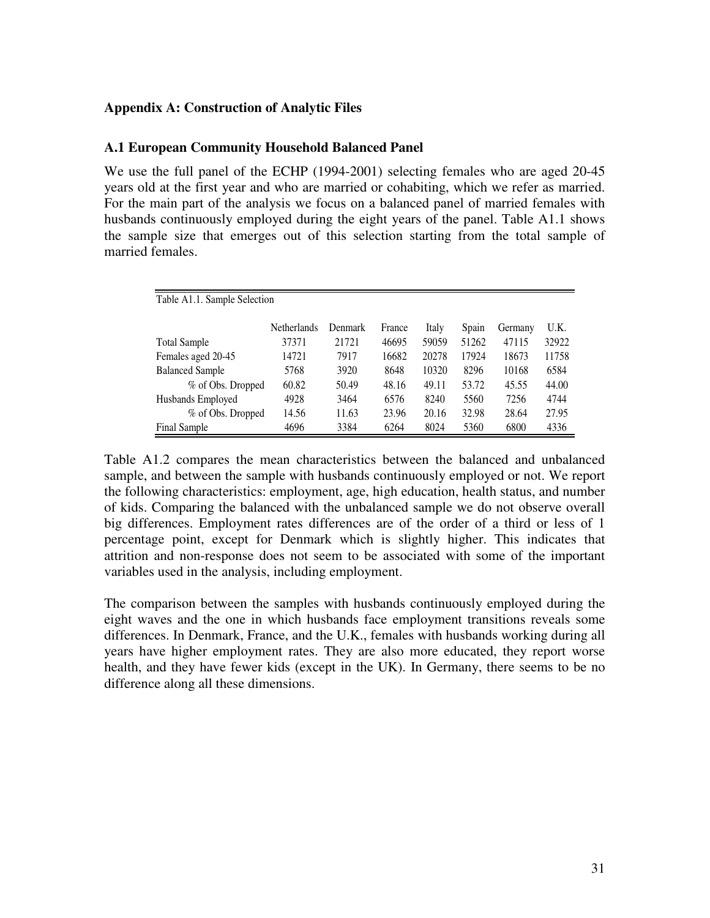# **Appendix A: Construction of Analytic Files**

# **A.1 European Community Household Balanced Panel**

We use the full panel of the ECHP (1994-2001) selecting females who are aged 20-45 years old at the first year and who are married or cohabiting, which we refer as married. For the main part of the analysis we focus on a balanced panel of married females with husbands continuously employed during the eight years of the panel. Table A1.1 shows the sample size that emerges out of this selection starting from the total sample of married females.

| Table A1.1. Sample Selection |                    |         |        |       |       |         |       |
|------------------------------|--------------------|---------|--------|-------|-------|---------|-------|
|                              | <b>Netherlands</b> | Denmark | France | Italy | Spain | Germany | U.K.  |
| <b>Total Sample</b>          | 37371              | 21721   | 46695  | 59059 | 51262 | 47115   | 32922 |
| Females aged 20-45           | 14721              | 7917    | 16682  | 20278 | 17924 | 18673   | 11758 |
| <b>Balanced Sample</b>       | 5768               | 3920    | 8648   | 10320 | 8296  | 10168   | 6584  |
| % of Obs. Dropped            | 60.82              | 50.49   | 48.16  | 49.11 | 53.72 | 45.55   | 44.00 |
| Husbands Employed            | 4928               | 3464    | 6576   | 8240  | 5560  | 7256    | 4744  |
| % of Obs. Dropped            | 14.56              | 11.63   | 23.96  | 20.16 | 32.98 | 28.64   | 27.95 |
| Final Sample                 | 4696               | 3384    | 6264   | 8024  | 5360  | 6800    | 4336  |

Table A1.2 compares the mean characteristics between the balanced and unbalanced sample, and between the sample with husbands continuously employed or not. We report the following characteristics: employment, age, high education, health status, and number of kids. Comparing the balanced with the unbalanced sample we do not observe overall big differences. Employment rates differences are of the order of a third or less of 1 percentage point, except for Denmark which is slightly higher. This indicates that attrition and non-response does not seem to be associated with some of the important variables used in the analysis, including employment.

The comparison between the samples with husbands continuously employed during the eight waves and the one in which husbands face employment transitions reveals some differences. In Denmark, France, and the U.K., females with husbands working during all years have higher employment rates. They are also more educated, they report worse health, and they have fewer kids (except in the UK). In Germany, there seems to be no difference along all these dimensions.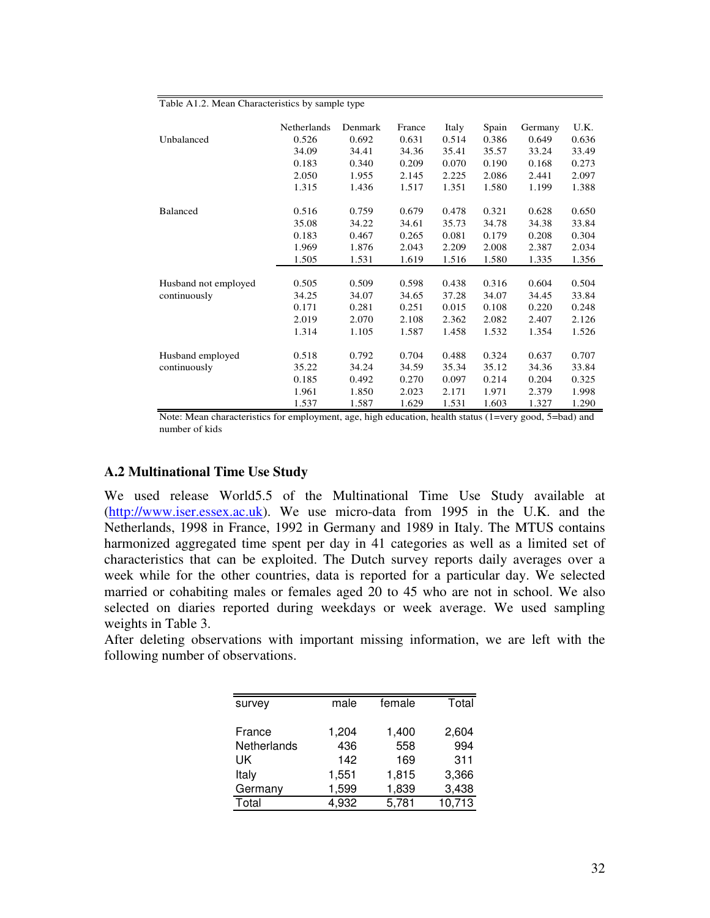|                      | Netherlands | Denmark | France | Italy | Spain | Germany | U.K.  |
|----------------------|-------------|---------|--------|-------|-------|---------|-------|
| Unbalanced           | 0.526       | 0.692   | 0.631  | 0.514 | 0.386 | 0.649   | 0.636 |
|                      | 34.09       | 34.41   | 34.36  | 35.41 | 35.57 | 33.24   | 33.49 |
|                      | 0.183       | 0.340   | 0.209  | 0.070 | 0.190 | 0.168   | 0.273 |
|                      | 2.050       | 1.955   | 2.145  | 2.225 | 2.086 | 2.441   | 2.097 |
|                      | 1.315       | 1.436   | 1.517  | 1.351 | 1.580 | 1.199   | 1.388 |
| <b>Balanced</b>      | 0.516       | 0.759   | 0.679  | 0.478 | 0.321 | 0.628   | 0.650 |
|                      | 35.08       | 34.22   | 34.61  | 35.73 | 34.78 | 34.38   | 33.84 |
|                      | 0.183       | 0.467   | 0.265  | 0.081 | 0.179 | 0.208   | 0.304 |
|                      | 1.969       | 1.876   | 2.043  | 2.209 | 2.008 | 2.387   | 2.034 |
|                      | 1.505       | 1.531   | 1.619  | 1.516 | 1.580 | 1.335   | 1.356 |
|                      |             |         |        |       |       |         |       |
| Husband not employed | 0.505       | 0.509   | 0.598  | 0.438 | 0.316 | 0.604   | 0.504 |
| continuously         | 34.25       | 34.07   | 34.65  | 37.28 | 34.07 | 34.45   | 33.84 |
|                      | 0.171       | 0.281   | 0.251  | 0.015 | 0.108 | 0.220   | 0.248 |
|                      | 2.019       | 2.070   | 2.108  | 2.362 | 2.082 | 2.407   | 2.126 |
|                      | 1.314       | 1.105   | 1.587  | 1.458 | 1.532 | 1.354   | 1.526 |
| Husband employed     | 0.518       | 0.792   | 0.704  | 0.488 | 0.324 | 0.637   | 0.707 |
| continuously         | 35.22       | 34.24   | 34.59  | 35.34 | 35.12 | 34.36   | 33.84 |
|                      | 0.185       | 0.492   | 0.270  | 0.097 | 0.214 | 0.204   | 0.325 |
|                      | 1.961       | 1.850   | 2.023  | 2.171 | 1.971 | 2.379   | 1.998 |
|                      | 1.537       | 1.587   | 1.629  | 1.531 | 1.603 | 1.327   | 1.290 |

#### Table A1.2. Mean Characteristics by sample type

Note: Mean characteristics for employment, age, high education, health status (1=very good, 5=bad) and number of kids

## **A.2 Multinational Time Use Study**

We used release World5.5 of the Multinational Time Use Study available at (http://www.iser.essex.ac.uk). We use micro-data from 1995 in the U.K. and the Netherlands, 1998 in France, 1992 in Germany and 1989 in Italy. The MTUS contains harmonized aggregated time spent per day in 41 categories as well as a limited set of characteristics that can be exploited. The Dutch survey reports daily averages over a week while for the other countries, data is reported for a particular day. We selected married or cohabiting males or females aged 20 to 45 who are not in school. We also selected on diaries reported during weekdays or week average. We used sampling weights in Table 3.

After deleting observations with important missing information, we are left with the following number of observations.

| survey      | male  | female | Total  |
|-------------|-------|--------|--------|
| France      | 1,204 | 1,400  | 2,604  |
| Netherlands | 436   | 558    | 994    |
| UK          | 142   | 169    | 311    |
| Italy       | 1,551 | 1,815  | 3,366  |
| Germany     | 1,599 | 1,839  | 3,438  |
| Total       | 4,932 | 5,781  | 10,713 |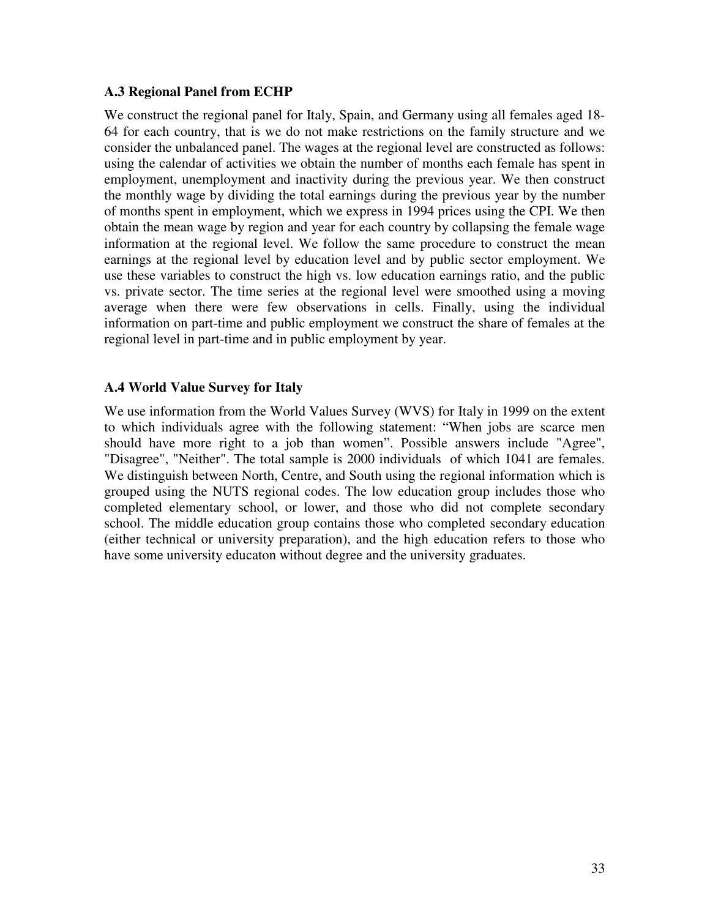# **A.3 Regional Panel from ECHP**

We construct the regional panel for Italy, Spain, and Germany using all females aged 18- 64 for each country, that is we do not make restrictions on the family structure and we consider the unbalanced panel. The wages at the regional level are constructed as follows: using the calendar of activities we obtain the number of months each female has spent in employment, unemployment and inactivity during the previous year. We then construct the monthly wage by dividing the total earnings during the previous year by the number of months spent in employment, which we express in 1994 prices using the CPI. We then obtain the mean wage by region and year for each country by collapsing the female wage information at the regional level. We follow the same procedure to construct the mean earnings at the regional level by education level and by public sector employment. We use these variables to construct the high vs. low education earnings ratio, and the public vs. private sector. The time series at the regional level were smoothed using a moving average when there were few observations in cells. Finally, using the individual information on part-time and public employment we construct the share of females at the regional level in part-time and in public employment by year.

# **A.4 World Value Survey for Italy**

We use information from the World Values Survey (WVS) for Italy in 1999 on the extent to which individuals agree with the following statement: "When jobs are scarce men should have more right to a job than women". Possible answers include "Agree", "Disagree", "Neither". The total sample is 2000 individuals of which 1041 are females. We distinguish between North, Centre, and South using the regional information which is grouped using the NUTS regional codes. The low education group includes those who completed elementary school, or lower, and those who did not complete secondary school. The middle education group contains those who completed secondary education (either technical or university preparation), and the high education refers to those who have some university educaton without degree and the university graduates.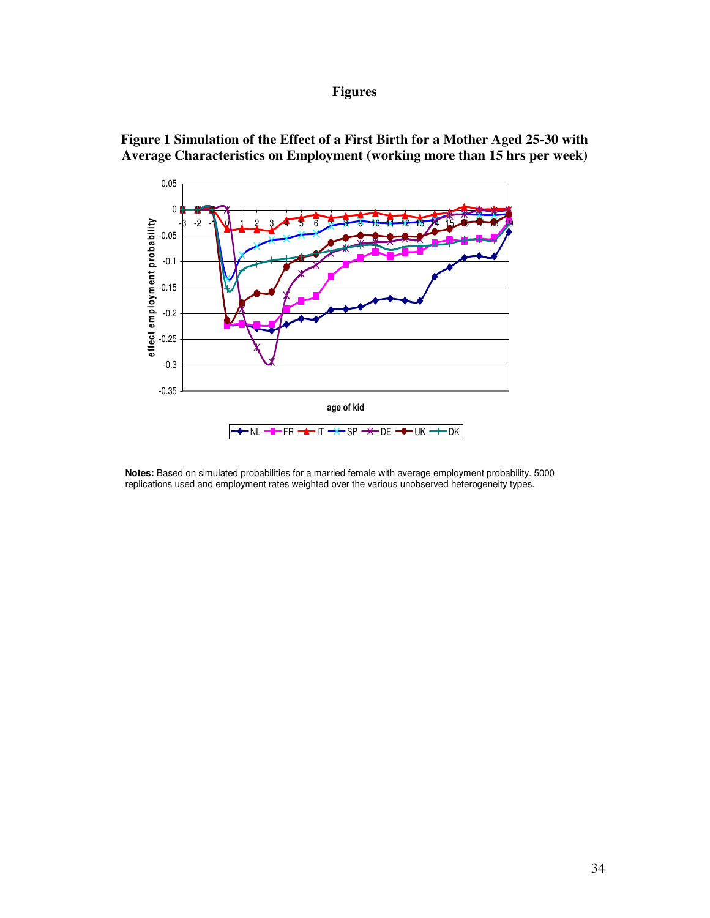# **Figures**



**Figure 1 Simulation of the Effect of a First Birth for a Mother Aged 25-30 with Average Characteristics on Employment (working more than 15 hrs per week)**

**Notes:** Based on simulated probabilities for a married female with average employment probability. 5000 replications used and employment rates weighted over the various unobserved heterogeneity types.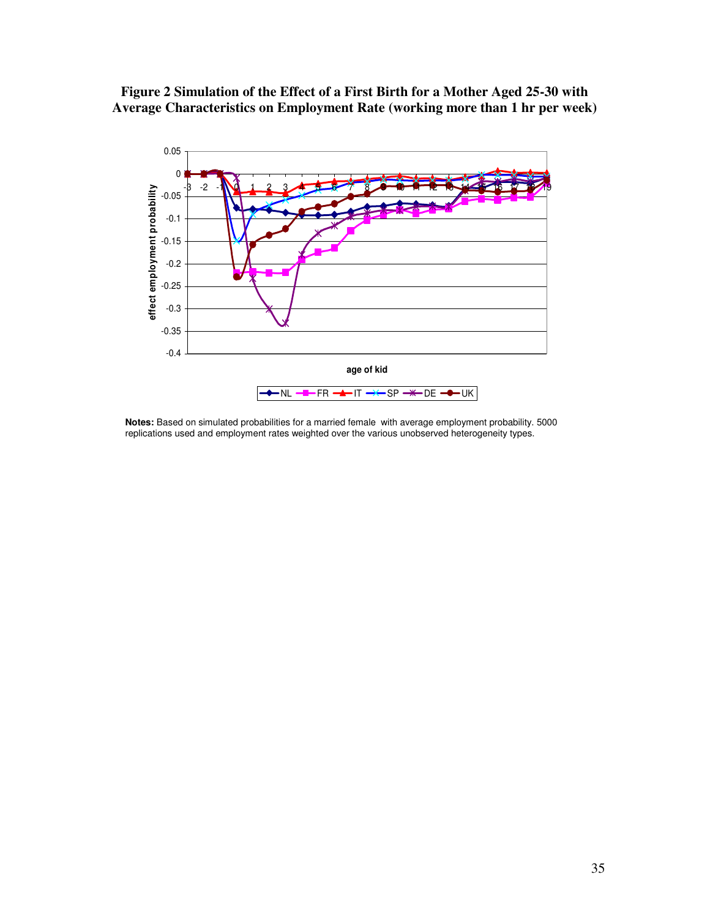**Figure 2 Simulation of the Effect of a First Birth for a Mother Aged 25-30 with Average Characteristics on Employment Rate (working more than 1 hr per week)** 



**Notes:** Based on simulated probabilities for a married female with average employment probability. 5000 replications used and employment rates weighted over the various unobserved heterogeneity types.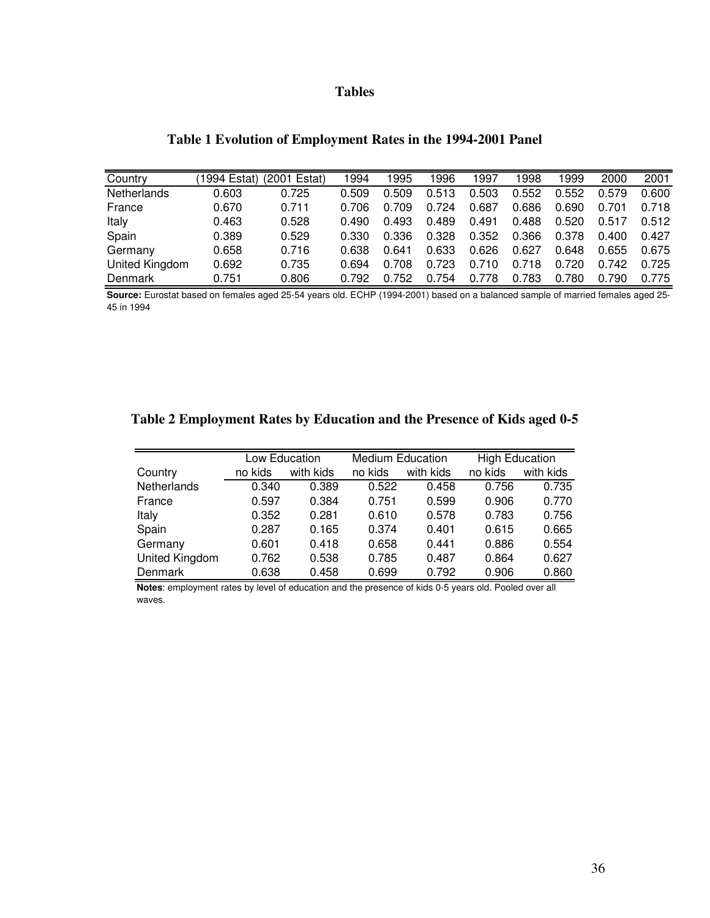# **Tables**

| Country            | (1994 Estat) | (2001 Estat) | 1994  | 1995  | 1996  | 1997  | 998   | 999   | 2000  | 2001  |
|--------------------|--------------|--------------|-------|-------|-------|-------|-------|-------|-------|-------|
| <b>Netherlands</b> | 0.603        | 0.725        | 0.509 | 0.509 | 0.513 | .503  | 0.552 | 0.552 | 0.579 | 0.600 |
| France             | 0.670        | 0.711        | 0.706 | 0.709 | 0.724 | 0.687 | 0.686 | 0.690 | 0.701 | 0.718 |
| Italy              | 0.463        | 0.528        | 0.490 | 0.493 | 0.489 | 0.491 | 0.488 | 0.520 | 0.517 | 0.512 |
| Spain              | 0.389        | 0.529        | 0.330 | 0.336 | 0.328 | 0.352 | 0.366 | 0.378 | 0.400 | 0.427 |
| Germany            | 0.658        | 0.716        | 0.638 | 0.641 | 0.633 | 0.626 | 0.627 | 0.648 | 0.655 | 0.675 |
| United Kingdom     | 0.692        | 0.735        | 0.694 | 0.708 | 0.723 | 0.710 | 0.718 | 0.720 | 0.742 | 0.725 |
| Denmark            | 0.751        | 0.806        | 0.792 | 0.752 | 0.754 | 0.778 | 0.783 | 0.780 | 0.790 | 0.775 |

# **Table 1 Evolution of Employment Rates in the 1994-2001 Panel**

**Source:** Eurostat based on females aged 25-54 years old. ECHP (1994-2001) based on a balanced sample of married females aged 25- 45 in 1994

# **Table 2 Employment Rates by Education and the Presence of Kids aged 0-5**

|                |         | Low Education |         | <b>Medium Education</b> |         | <b>High Education</b> |  |
|----------------|---------|---------------|---------|-------------------------|---------|-----------------------|--|
| Country        | no kids | with kids     | no kids | with kids               | no kids | with kids             |  |
| Netherlands    | 0.340   | 0.389         | 0.522   | 0.458                   | 0.756   | 0.735                 |  |
| France         | 0.597   | 0.384         | 0.751   | 0.599                   | 0.906   | 0.770                 |  |
| Italy          | 0.352   | 0.281         | 0.610   | 0.578                   | 0.783   | 0.756                 |  |
| Spain          | 0.287   | 0.165         | 0.374   | 0.401                   | 0.615   | 0.665                 |  |
| Germany        | 0.601   | 0.418         | 0.658   | 0.441                   | 0.886   | 0.554                 |  |
| United Kingdom | 0.762   | 0.538         | 0.785   | 0.487                   | 0.864   | 0.627                 |  |
| Denmark        | 0.638   | 0.458         | 0.699   | 0.792                   | 0.906   | 0.860                 |  |

**Notes**: employment rates by level of education and the presence of kids 0-5 years old. Pooled over all waves.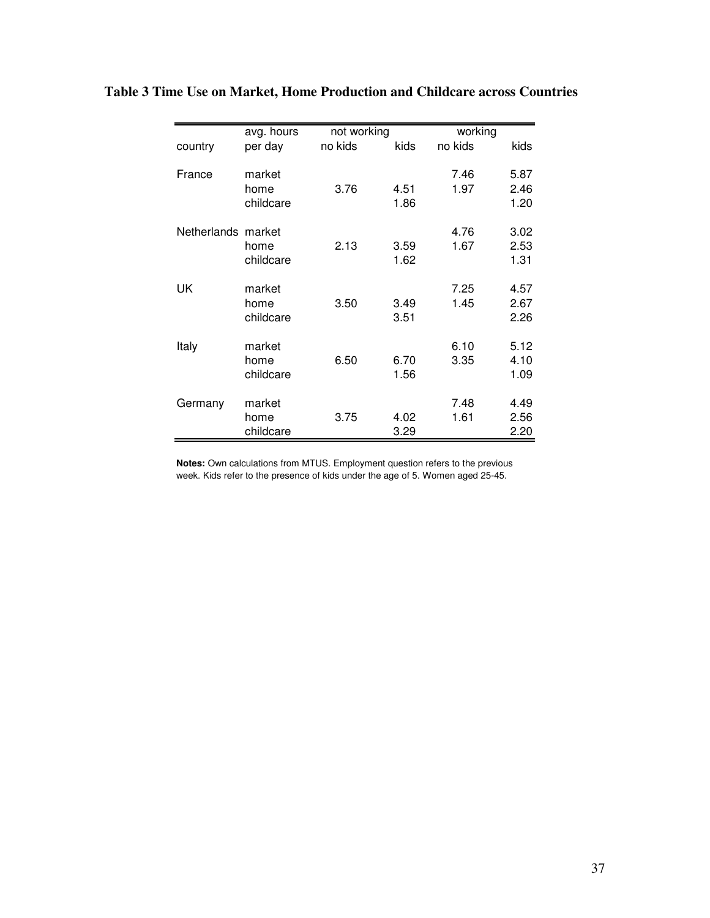|                    | avg. hours                  | not working |              | working      |                      |
|--------------------|-----------------------------|-------------|--------------|--------------|----------------------|
| country            | per day                     | no kids     | kids         | no kids      | kids                 |
| France             | market<br>home<br>childcare | 3.76        | 4.51<br>1.86 | 7.46<br>1.97 | 5.87<br>2.46<br>1.20 |
| Netherlands market | home<br>childcare           | 2.13        | 3.59<br>1.62 | 4.76<br>1.67 | 3.02<br>2.53<br>1.31 |
| UK                 | market<br>home<br>childcare | 3.50        | 3.49<br>3.51 | 7.25<br>1.45 | 4.57<br>2.67<br>2.26 |
| Italy              | market<br>home<br>childcare | 6.50        | 6.70<br>1.56 | 6.10<br>3.35 | 5.12<br>4.10<br>1.09 |
| Germany            | market<br>home<br>childcare | 3.75        | 4.02<br>3.29 | 7.48<br>1.61 | 4.49<br>2.56<br>2.20 |

**Table 3 Time Use on Market, Home Production and Childcare across Countries**

**Notes:** Own calculations from MTUS. Employment question refers to the previous week. Kids refer to the presence of kids under the age of 5. Women aged 25-45.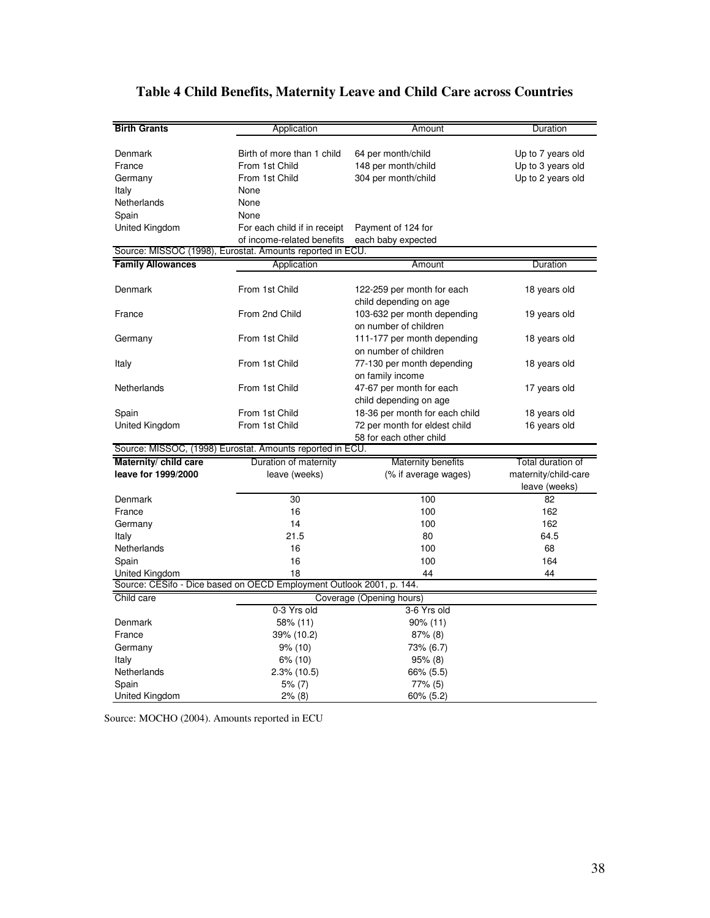| <b>Birth Grants</b>      | Application                                                          | Amount                                               | Duration                              |
|--------------------------|----------------------------------------------------------------------|------------------------------------------------------|---------------------------------------|
|                          |                                                                      |                                                      |                                       |
| Denmark                  | Birth of more than 1 child                                           | 64 per month/child                                   | Up to 7 years old                     |
| France                   | From 1st Child                                                       | 148 per month/child                                  | Up to 3 years old                     |
| Germany                  | From 1st Child                                                       | 304 per month/child                                  | Up to 2 years old                     |
| Italy                    | None                                                                 |                                                      |                                       |
| Netherlands              | None                                                                 |                                                      |                                       |
| Spain                    | None                                                                 |                                                      |                                       |
| United Kingdom           | For each child if in receipt                                         | Payment of 124 for                                   |                                       |
|                          | of income-related benefits                                           | each baby expected                                   |                                       |
|                          | Source: MISSOC (1998), Eurostat. Amounts reported in ECU.            |                                                      |                                       |
| <b>Family Allowances</b> | Application                                                          | Amount                                               | Duration                              |
| Denmark                  | From 1st Child                                                       | 122-259 per month for each<br>child depending on age | 18 years old                          |
| France                   | From 2nd Child                                                       | 103-632 per month depending<br>on number of children | 19 years old                          |
| Germany                  | From 1st Child                                                       | 111-177 per month depending<br>on number of children | 18 years old                          |
| Italy                    | From 1st Child                                                       | 77-130 per month depending<br>on family income       | 18 years old                          |
| Netherlands              | From 1st Child                                                       | 47-67 per month for each<br>child depending on age   | 17 years old                          |
| Spain                    | From 1st Child                                                       | 18-36 per month for each child                       | 18 years old                          |
| United Kingdom           | From 1st Child                                                       | 72 per month for eldest child                        | 16 years old                          |
|                          | Source: MISSOC, (1998) Eurostat. Amounts reported in ECU.            | 58 for each other child                              |                                       |
| Maternity/ child care    | Duration of maternity                                                | Maternity benefits                                   | Total duration of                     |
| leave for 1999/2000      | leave (weeks)                                                        | (% if average wages)                                 | maternity/child-care<br>leave (weeks) |
| Denmark                  | 30                                                                   | 100                                                  | 82                                    |
| France                   | 16                                                                   | 100                                                  | 162                                   |
| Germany                  | 14                                                                   | 100                                                  | 162                                   |
| Italy                    | 21.5                                                                 | 80                                                   | 64.5                                  |
| Netherlands              | 16                                                                   | 100                                                  | 68                                    |
| Spain                    | 16                                                                   | 100                                                  | 164                                   |
| United Kingdom           | 18                                                                   | 44                                                   | 44                                    |
|                          | Source: CESifo - Dice based on OECD Employment Outlook 2001, p. 144. |                                                      |                                       |
| Child care               |                                                                      | Coverage (Opening hours)                             |                                       |
|                          | 0-3 Yrs old                                                          | 3-6 Yrs old                                          |                                       |
| Denmark                  | 58% (11)                                                             | 90% (11)                                             |                                       |
| France                   | 39% (10.2)                                                           | $87%$ (8)                                            |                                       |
| Germany                  | $9\%$ (10)                                                           | 73% (6.7)                                            |                                       |
| Italy                    | 6% (10)                                                              | 95% (8)                                              |                                       |
| Netherlands              | $2.3\%$ (10.5)                                                       | 66% (5.5)                                            |                                       |
| Spain                    | 5% (7)                                                               | 77% (5)                                              |                                       |
| United Kingdom           | 2% (8)                                                               | $60\%$ (5.2)                                         |                                       |

# **Table 4 Child Benefits, Maternity Leave and Child Care across Countries**

Source: MOCHO (2004). Amounts reported in ECU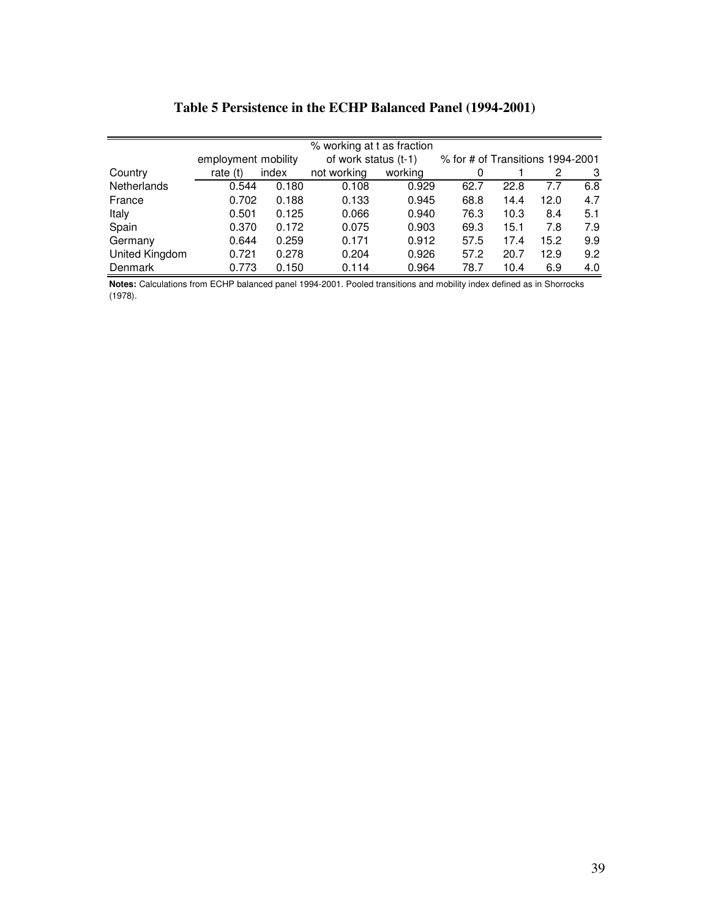|                |                     |       | % working at t as fraction |         |                                    |      |      |     |
|----------------|---------------------|-------|----------------------------|---------|------------------------------------|------|------|-----|
|                | employment mobility |       | of work status (t-1)       |         | $%$ for # of Transitions 1994-2001 |      |      |     |
| Country        | rate $(t)$          | index | not working                | working |                                    |      | 2    | 3   |
| Netherlands    | 0.544               | 0.180 | 0.108                      | 0.929   | 62.7                               | 22.8 | 7.7  | 6.8 |
| France         | 0.702               | 0.188 | 0.133                      | 0.945   | 68.8                               | 14.4 | 12.0 | 4.7 |
| Italy          | 0.501               | 0.125 | 0.066                      | 0.940   | 76.3                               | 10.3 | 8.4  | 5.1 |
| Spain          | 0.370               | 0.172 | 0.075                      | 0.903   | 69.3                               | 15.1 | 7.8  | 7.9 |
| Germany        | 0.644               | 0.259 | 0.171                      | 0.912   | 57.5                               | 17.4 | 15.2 | 9.9 |
| United Kingdom | 0.721               | 0.278 | 0.204                      | 0.926   | 57.2                               | 20.7 | 12.9 | 9.2 |
| Denmark        | 0.773               | 0.150 | 0.114                      | 0.964   | 78.7                               | 10.4 | 6.9  | 4.0 |

**Notes:** Calculations from ECHP balanced panel 1994-2001. Pooled transitions and mobility index defined as in Shorrocks (1978).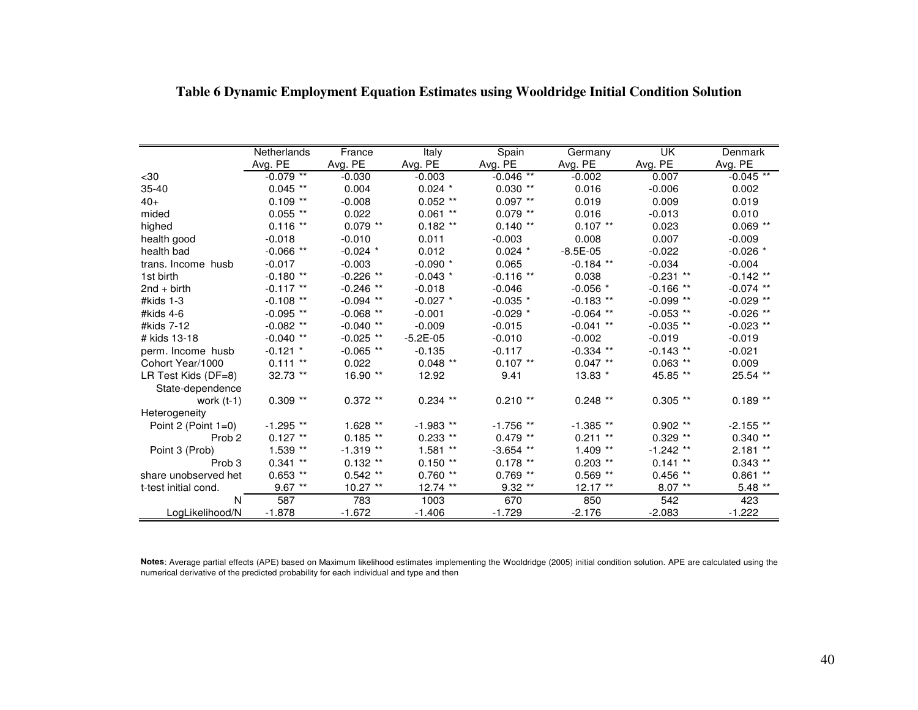|                        | <b>Netherlands</b> | France      | Italy        | Spain       | Germany     | UK          | Denmark     |
|------------------------|--------------------|-------------|--------------|-------------|-------------|-------------|-------------|
|                        | Avg. PE            | Avg. PE     | Avg. PE      | Avg. PE     | Avg. PE     | Avg. PE     | Avg. PE     |
| $30$                   | $-0.079$ **        | $-0.030$    | $-0.003$     | $-0.046$ ** | $-0.002$    | 0.007       | $-0.045$ ** |
| $35 - 40$              | $0.045$ **         | 0.004       | $0.024$ *    | $0.030**$   | 0.016       | $-0.006$    | 0.002       |
| $40+$                  | $0.109$ **         | $-0.008$    | $0.052$ **   | $0.097$ **  | 0.019       | 0.009       | 0.019       |
| mided                  | $0.055$ **         | 0.022       | $0.061$ **   | $0.079$ **  | 0.016       | $-0.013$    | 0.010       |
| highed                 | $0.116$ **         | $0.079$ **  | $0.182$ **   | $0.140**$   | $0.107$ **  | 0.023       | $0.069$ **  |
| health good            | $-0.018$           | $-0.010$    | 0.011        | $-0.003$    | 0.008       | 0.007       | $-0.009$    |
| health bad             | $-0.066$ **        | $-0.024$ *  | 0.012        | $0.024$ *   | $-8.5E-05$  | $-0.022$    | $-0.026$ *  |
| trans. Income husb     | $-0.017$           | $-0.003$    | $-0.090$ *   | 0.065       | $-0.184$ ** | $-0.034$    | $-0.004$    |
| 1st birth              | $-0.180**$         | $-0.226$ ** | $-0.043$ *   | $-0.116$ ** | 0.038       | $-0.231$ ** | $-0.142$ ** |
| $2nd + birth$          | $-0.117$ **        | $-0.246$ ** | $-0.018$     | $-0.046$    | $-0.056$ *  | $-0.166$ ** | $-0.074$ ** |
| #kids 1-3              | $-0.108$ **        | $-0.094$ ** | $-0.027$ *   | $-0.035$ *  | $-0.183$ ** | $-0.099$ ** | $-0.029$ ** |
| #kids $4-6$            | $-0.095$ **        | $-0.068$ ** | $-0.001$     | $-0.029$ *  | $-0.064$ ** | $-0.053$ ** | $-0.026$ ** |
| #kids 7-12             | $-0.082$ **        | $-0.040$ ** | $-0.009$     | $-0.015$    | $-0.041$ ** | $-0.035$ ** | $-0.023$ ** |
| # kids 13-18           | $-0.040**$         | $-0.025$ ** | $-5.2E - 05$ | $-0.010$    | $-0.002$    | $-0.019$    | $-0.019$    |
| perm. Income husb      | $-0.121$ *         | $-0.065$ ** | $-0.135$     | $-0.117$    | $-0.334$ ** | $-0.143$ ** | $-0.021$    |
| Cohort Year/1000       | $0.111**$          | 0.022       | $0.048$ **   | $0.107$ **  | $0.047$ **  | $0.063$ **  | 0.009       |
| LR Test Kids (DF=8)    | 32.73 **           | 16.90 **    | 12.92        | 9.41        | $13.83*$    | 45.85 **    | 25.54 **    |
| State-dependence       |                    |             |              |             |             |             |             |
| work $(t-1)$           | $0.309$ **         | $0.372$ **  | $0.234$ **   | $0.210**$   | $0.248$ **  | $0.305$ **  | $0.189**$   |
| Heterogeneity          |                    |             |              |             |             |             |             |
| Point 2 (Point $1=0$ ) | $-1.295$ **        | 1.628 **    | $-1.983$ **  | $-1.756$ ** | $-1.385**$  | $0.902$ **  | $-2.155$ ** |
| Prob <sub>2</sub>      | $0.127$ **         | $0.185**$   | $0.233$ **   | $0.479**$   | $0.211$ **  | $0.329$ **  | $0.340**$   |
| Point 3 (Prob)         | 1.539 **           | $-1.319**$  | $1.581**$    | $-3.654$ ** | $1.409**$   | $-1.242$ ** | $2.181**$   |
| Prob <sub>3</sub>      | $0.341$ **         | $0.132**$   | $0.150**$    | $0.178$ **  | $0.203$ **  | $0.141$ **  | $0.343$ **  |
| share unobserved het   | $0.653$ **         | $0.542$ **  | $0.760**$    | $0.769$ **  | $0.569$ **  | $0.456$ **  | $0.861$ **  |
| t-test initial cond.   | $9.67**$           | $10.27$ **  | 12.74 **     | $9.32**$    | $12.17**$   | $8.07***$   | $5.48$ **   |
| N                      | 587                | 783         | 1003         | 670         | 850         | 542         | 423         |
| LogLikelihood/N        | $-1.878$           | $-1.672$    | $-1.406$     | $-1.729$    | $-2.176$    | $-2.083$    | $-1.222$    |

# **Table 6 Dynamic Employment Equation Estimates using Wooldridge Initial Condition Solution**

**Notes**: Average partial effects (APE) based on Maximum likelihood estimates implementing the Wooldridge (2005) initial condition solution. APE are calculated using the numerical derivative of the predicted probability for each individual and type and then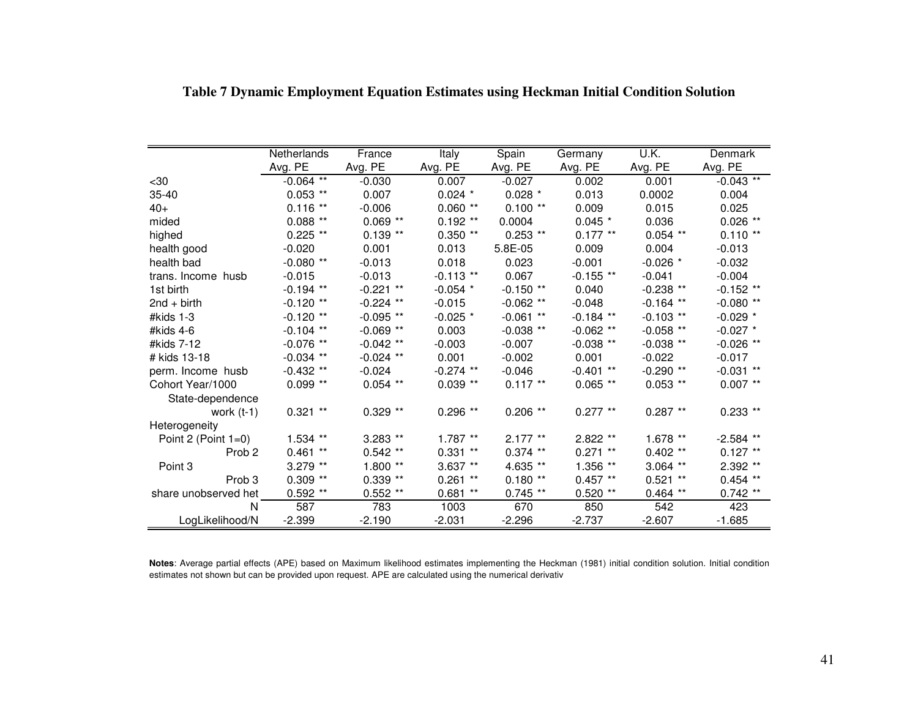|                        | <b>Netherlands</b> | France      | Italy       | Spain       | Germany     | U.K.        | Denmark     |
|------------------------|--------------------|-------------|-------------|-------------|-------------|-------------|-------------|
|                        | Avg. PE            | Avg. PE     | Avg. PE     | Avg. PE     | Avg. PE     | Avg. PE     | Avg. PE     |
| $30$                   | $-0.064$ **        | $-0.030$    | 0.007       | $-0.027$    | 0.002       | 0.001       | $-0.043$ ** |
| $35 - 40$              | $0.053$ **         | 0.007       | $0.024$ *   | $0.028$ *   | 0.013       | 0.0002      | 0.004       |
| $40+$                  | 0.116<br>$***$     | $-0.006$    | $0.060**$   | $0.100**$   | 0.009       | 0.015       | 0.025       |
| mided                  | $0.088**$          | $0.069$ **  | $0.192$ **  | 0.0004      | $0.045$ *   | 0.036       | $0.026$ **  |
| highed                 | $0.225$ **         | $0.139**$   | $0.350**$   | $0.253$ **  | $0.177**$   | $0.054$ **  | $0.110**$   |
| health good            | $-0.020$           | 0.001       | 0.013       | 5.8E-05     | 0.009       | 0.004       | $-0.013$    |
| health bad             | $-0.080**$         | $-0.013$    | 0.018       | 0.023       | $-0.001$    | $-0.026$ *  | $-0.032$    |
| trans. Income husb     | $-0.015$           | $-0.013$    | $-0.113$ ** | 0.067       | $-0.155$ ** | $-0.041$    | $-0.004$    |
| 1st birth              | $-0.194$ **        | $-0.221$ ** | $-0.054$ *  | $-0.150**$  | 0.040       | $-0.238**$  | $-0.152$ ** |
| $2nd + birth$          | $-0.120$ **        | $-0.224$ ** | $-0.015$    | $-0.062$ ** | $-0.048$    | $-0.164$ ** | $-0.080**$  |
| # $kids$ 1-3           | $-0.120$ **        | $-0.095**$  | $-0.025$ *  | $-0.061$ ** | $-0.184$ ** | $-0.103$ ** | $-0.029$ *  |
| #kids $4-6$            | $-0.104$ **        | $-0.069**$  | 0.003       | $-0.038$ ** | $-0.062$ ** | $-0.058$ ** | $-0.027$ *  |
| #kids 7-12             | $-0.076$<br>$***$  | $-0.042$ ** | $-0.003$    | $-0.007$    | $-0.038$ ** | $-0.038$ ** | $-0.026$ ** |
| # kids 13-18           | $-0.034$ **        | $-0.024$ ** | 0.001       | $-0.002$    | 0.001       | $-0.022$    | $-0.017$    |
| perm. Income husb      | $-0.432$ **        | $-0.024$    | $-0.274$ ** | $-0.046$    | $-0.401$ ** | $-0.290**$  | $-0.031$ ** |
| Cohort Year/1000       | $0.099**$          | $0.054$ **  | $0.039**$   | $0.117$ **  | $0.065$ **  | $0.053$ **  | $0.007$ **  |
| State-dependence       |                    |             |             |             |             |             |             |
| work $(t-1)$           | $0.321$ **         | $0.329**$   | $0.296$ **  | $0.206$ **  | $0.277**$   | $0.287**$   | $0.233$ **  |
| Heterogeneity          |                    |             |             |             |             |             |             |
| Point 2 (Point $1=0$ ) | $1.534$ **         | 3.283 **    | $1.787**$   | $2.177**$   | $2.822**$   | $1.678**$   | $-2.584$ ** |
| Prob <sub>2</sub>      | $0.461**$          | $0.542**$   | $0.331**$   | $0.374$ **  | $0.271$ **  | $0.402$ **  | $0.127**$   |
| Point 3                | 3.279 **           | $1.800**$   | $3.637**$   | 4.635 **    | 1.356 **    | $3.064$ **  | 2.392 **    |
| Prob <sub>3</sub>      | $0.309$ **         | $0.339**$   | $0.261$ **  | $0.180**$   | $0.457**$   | $0.521$ **  | $0.454$ **  |
| share unobserved het   | $0.592**$          | $0.552**$   | $0.681**$   | $0.745**$   | $0.520**$   | $0.464$ **  | $0.742$ **  |
| N                      | 587                | 783         | 1003        | 670         | 850         | 542         | 423         |
| LogLikelihood/N        | $-2.399$           | $-2.190$    | $-2.031$    | $-2.296$    | $-2.737$    | $-2.607$    | $-1.685$    |

**Table 7 Dynamic Employment Equation Estimates using Heckman Initial Condition Solution** 

**Notes**: Average partial effects (APE) based on Maximum likelihood estimates implementing the Heckman (1981) initial condition solution. Initial condition estimates not shown but can be provided upon request. APE are calculated using the numerical derivativ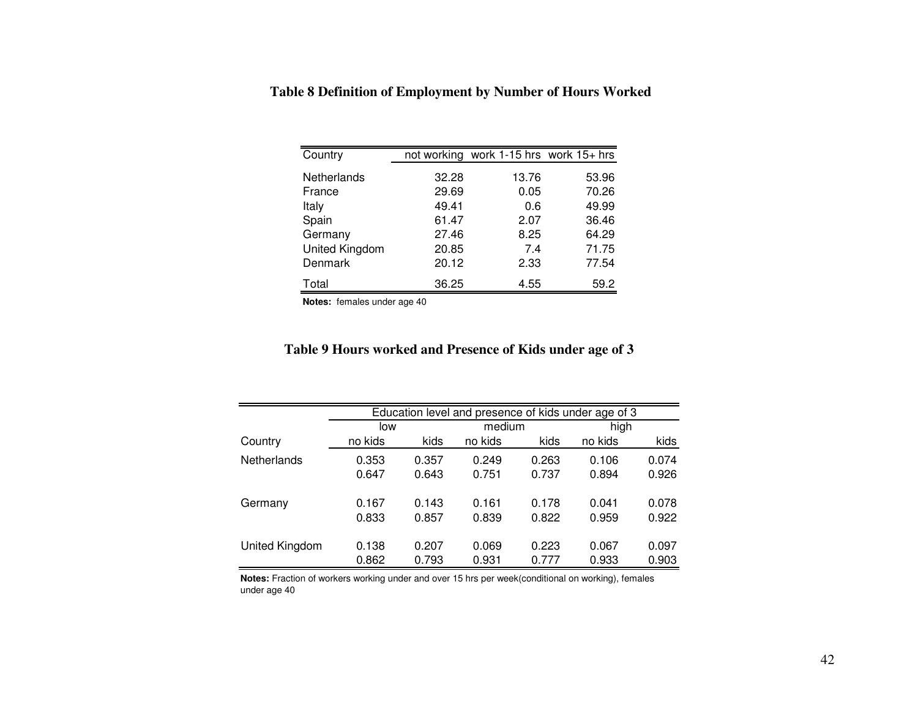| Country        |       | not working work 1-15 hrs work 15+ hrs |       |
|----------------|-------|----------------------------------------|-------|
| Netherlands    | 32.28 | 13.76                                  | 53.96 |
| France         | 29.69 | 0.05                                   | 70.26 |
| Italy          | 49.41 | 0.6                                    | 49.99 |
| Spain          | 61.47 | 2.07                                   | 36.46 |
| Germany        | 27.46 | 8.25                                   | 64.29 |
| United Kingdom | 20.85 | 7.4                                    | 71.75 |
| Denmark        | 20.12 | 2.33                                   | 77.54 |
| Total          | 36.25 | 4.55                                   | 59.2  |

 **Table 8 Definition of Employment by Number of Hours Worked** 

**Notes:** females under age 40

# **Table 9 Hours worked and Presence of Kids under age of 3**

|                    |         |       | Education level and presence of kids under age of 3 |       |         |       |  |
|--------------------|---------|-------|-----------------------------------------------------|-------|---------|-------|--|
|                    | low     |       | medium                                              |       |         | high  |  |
| Country            | no kids | kids  | no kids                                             | kids  | no kids | kids  |  |
| <b>Netherlands</b> | 0.353   | 0.357 | 0.249                                               | 0.263 | 0.106   | 0.074 |  |
|                    | 0.647   | 0.643 | 0.751                                               | 0.737 | 0.894   | 0.926 |  |
|                    |         |       |                                                     |       |         |       |  |
| Germany            | 0.167   | 0.143 | 0.161                                               | 0.178 | 0.041   | 0.078 |  |
|                    | 0.833   | 0.857 | 0.839                                               | 0.822 | 0.959   | 0.922 |  |
|                    |         |       |                                                     |       |         |       |  |
| United Kingdom     | 0.138   | 0.207 | 0.069                                               | 0.223 | 0.067   | 0.097 |  |
|                    | 0.862   | 0.793 | 0.931                                               | 0.777 | 0.933   | 0.903 |  |

**Notes:** Fraction of workers working under and over 15 hrs per week(conditional on working), females under age 40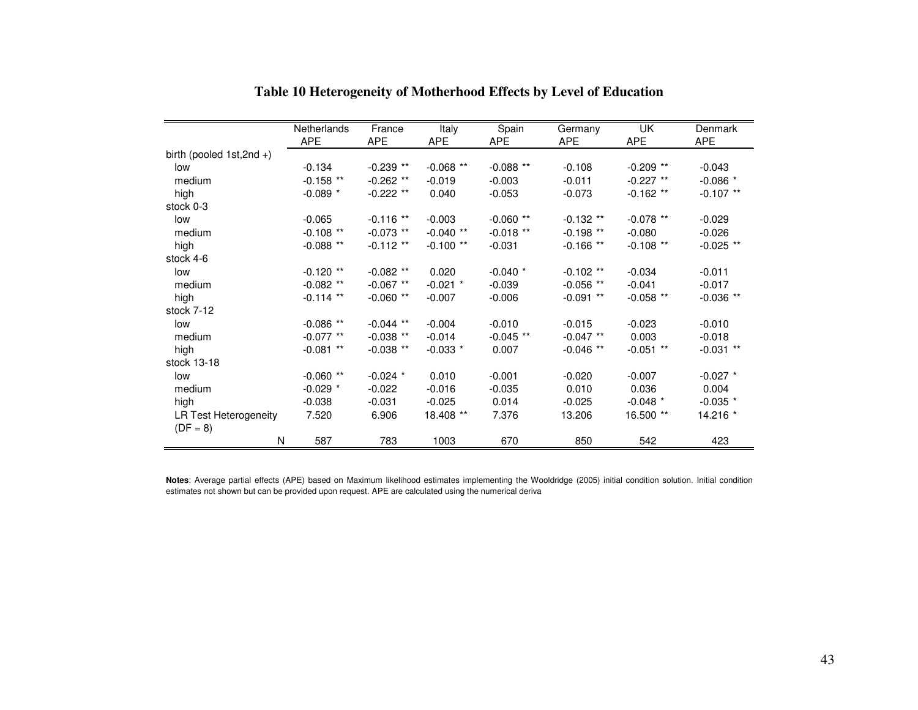|                             | Netherlands | France      | Italy       | Spain       | Germany     | UK          | Denmark     |
|-----------------------------|-------------|-------------|-------------|-------------|-------------|-------------|-------------|
|                             | <b>APE</b>  | <b>APE</b>  | <b>APE</b>  | <b>APE</b>  | <b>APE</b>  | <b>APE</b>  | <b>APE</b>  |
| birth (pooled $1st,2nd +$ ) |             |             |             |             |             |             |             |
| low                         | $-0.134$    | $-0.239$ ** | $-0.068$ ** | $-0.088**$  | $-0.108$    | $-0.209$ ** | $-0.043$    |
| medium                      | $-0.158$ ** | $-0.262$ ** | $-0.019$    | $-0.003$    | $-0.011$    | $-0.227$ ** | $-0.086$ *  |
| high                        | $-0.089$ *  | $-0.222$ ** | 0.040       | $-0.053$    | $-0.073$    | $-0.162$ ** | $-0.107$ ** |
| stock 0-3                   |             |             |             |             |             |             |             |
| low                         | $-0.065$    | $-0.116$ ** | $-0.003$    | $-0.060**$  | $-0.132**$  | $-0.078$ ** | $-0.029$    |
| medium                      | $-0.108$ ** | $-0.073$ ** | $-0.040**$  | $-0.018**$  | $-0.198**$  | $-0.080$    | $-0.026$    |
| high                        | $-0.088**$  | $-0.112**$  | $-0.100**$  | $-0.031$    | $-0.166**$  | $-0.108$ ** | $-0.025$ ** |
| stock 4-6                   |             |             |             |             |             |             |             |
| low                         | $-0.120**$  | $-0.082$ ** | 0.020       | $-0.040$ *  | $-0.102$ ** | $-0.034$    | $-0.011$    |
| medium                      | $-0.082$ ** | $-0.067$ ** | $-0.021$ *  | $-0.039$    | $-0.056$ ** | $-0.041$    | $-0.017$    |
| high                        | $-0.114$ ** | $-0.060**$  | $-0.007$    | $-0.006$    | $-0.091$ ** | $-0.058$ ** | $-0.036$ ** |
| stock 7-12                  |             |             |             |             |             |             |             |
| low                         | $-0.086**$  | $-0.044$ ** | $-0.004$    | $-0.010$    | $-0.015$    | $-0.023$    | $-0.010$    |
| medium                      | $-0.077$ ** | $-0.038$ ** | $-0.014$    | $-0.045$ ** | $-0.047$ ** | 0.003       | $-0.018$    |
| high                        | $-0.081$ ** | $-0.038$ ** | $-0.033$ *  | 0.007       | $-0.046**$  | $-0.051$ ** | $-0.031$ ** |
| stock 13-18                 |             |             |             |             |             |             |             |
| low                         | $-0.060**$  | $-0.024$ *  | 0.010       | $-0.001$    | $-0.020$    | $-0.007$    | $-0.027$ *  |
| medium                      | $-0.029$ *  | $-0.022$    | $-0.016$    | $-0.035$    | 0.010       | 0.036       | 0.004       |
| high                        | $-0.038$    | $-0.031$    | $-0.025$    | 0.014       | $-0.025$    | $-0.048$ *  | $-0.035$ *  |
| LR Test Heterogeneity       | 7.520       | 6.906       | 18.408 **   | 7.376       | 13.206      | 16.500 **   | 14.216 *    |
| $(DF = 8)$                  |             |             |             |             |             |             |             |
| N                           | 587         | 783         | 1003        | 670         | 850         | 542         | 423         |

**Table 10 Heterogeneity of Motherhood Effects by Level of Education** 

**Notes**: Average partial effects (APE) based on Maximum likelihood estimates implementing the Wooldridge (2005) initial condition solution. Initial condition estimates not shown but can be provided upon request. APE are calculated using the numerical deriva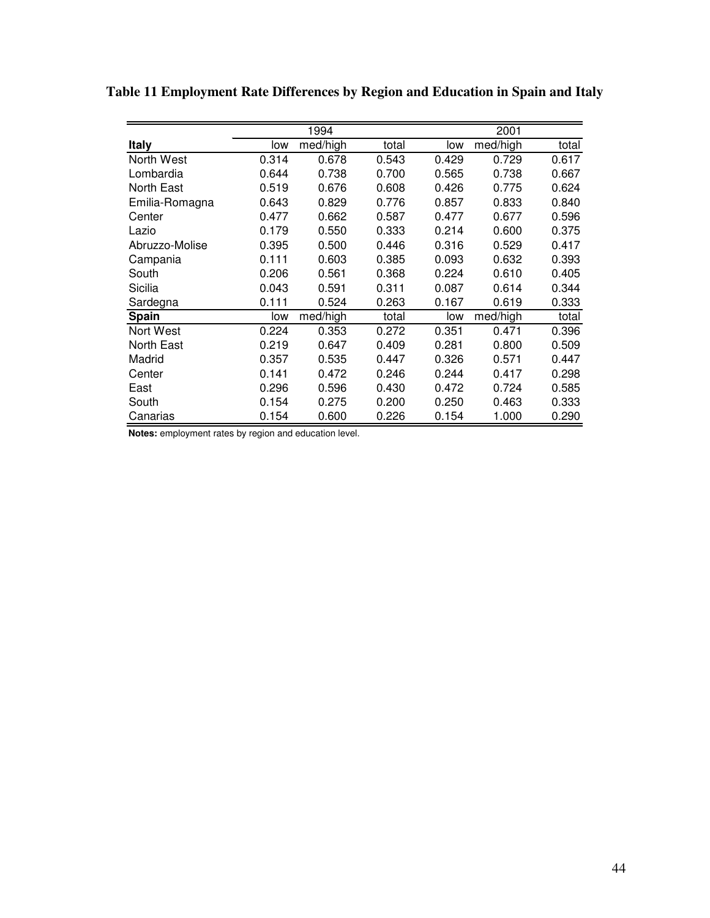|                |       | 1994     |       |       | 2001     |       |
|----------------|-------|----------|-------|-------|----------|-------|
| <b>Italy</b>   | low   | med/high | total | low   | med/high | total |
| North West     | 0.314 | 0.678    | 0.543 | 0.429 | 0.729    | 0.617 |
| Lombardia      | 0.644 | 0.738    | 0.700 | 0.565 | 0.738    | 0.667 |
| North East     | 0.519 | 0.676    | 0.608 | 0.426 | 0.775    | 0.624 |
| Emilia-Romagna | 0.643 | 0.829    | 0.776 | 0.857 | 0.833    | 0.840 |
| Center         | 0.477 | 0.662    | 0.587 | 0.477 | 0.677    | 0.596 |
| Lazio          | 0.179 | 0.550    | 0.333 | 0.214 | 0.600    | 0.375 |
| Abruzzo-Molise | 0.395 | 0.500    | 0.446 | 0.316 | 0.529    | 0.417 |
| Campania       | 0.111 | 0.603    | 0.385 | 0.093 | 0.632    | 0.393 |
| South          | 0.206 | 0.561    | 0.368 | 0.224 | 0.610    | 0.405 |
| Sicilia        | 0.043 | 0.591    | 0.311 | 0.087 | 0.614    | 0.344 |
| Sardegna       | 0.111 | 0.524    | 0.263 | 0.167 | 0.619    | 0.333 |
| Spain          | low   | med/high | total | low   | med/high | total |
| Nort West      | 0.224 | 0.353    | 0.272 | 0.351 | 0.471    | 0.396 |
| North East     | 0.219 | 0.647    | 0.409 | 0.281 | 0.800    | 0.509 |
| Madrid         | 0.357 | 0.535    | 0.447 | 0.326 | 0.571    | 0.447 |
| Center         | 0.141 | 0.472    | 0.246 | 0.244 | 0.417    | 0.298 |
| East           | 0.296 | 0.596    | 0.430 | 0.472 | 0.724    | 0.585 |
| South          | 0.154 | 0.275    | 0.200 | 0.250 | 0.463    | 0.333 |
| Canarias       | 0.154 | 0.600    | 0.226 | 0.154 | 1.000    | 0.290 |

**Table 11 Employment Rate Differences by Region and Education in Spain and Italy** 

**Notes:** employment rates by region and education level.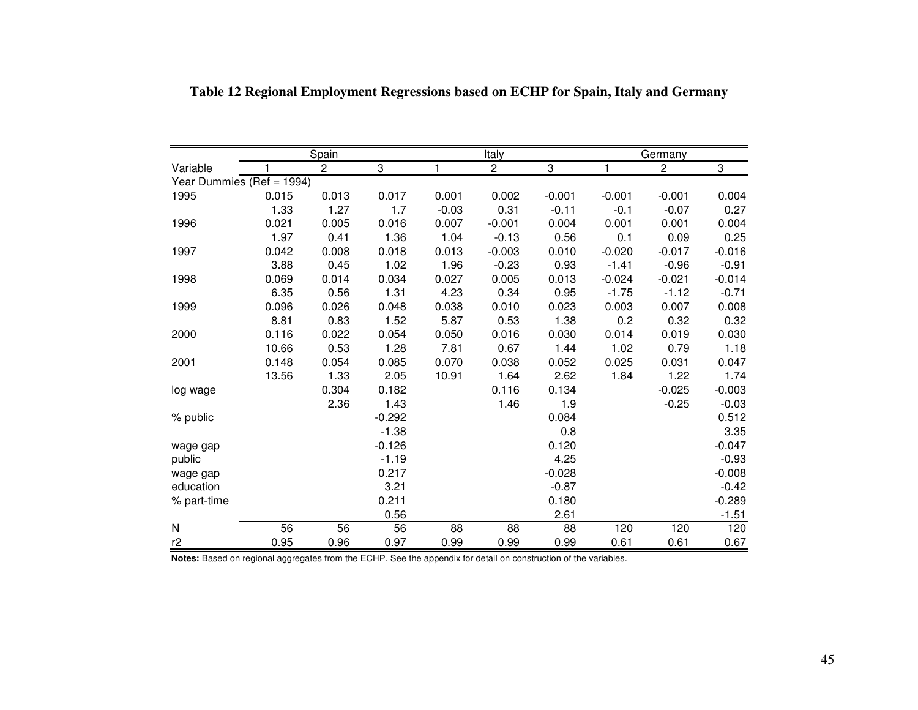|                           |       | Spain          |          |         | Italy          |          |          | Germany      |          |
|---------------------------|-------|----------------|----------|---------|----------------|----------|----------|--------------|----------|
| Variable                  | 1     | $\overline{2}$ | 3        | 1       | $\overline{2}$ | 3        | 1        | $\mathbf{2}$ | 3        |
| Year Dummies (Ref = 1994) |       |                |          |         |                |          |          |              |          |
| 1995                      | 0.015 | 0.013          | 0.017    | 0.001   | 0.002          | $-0.001$ | $-0.001$ | $-0.001$     | 0.004    |
|                           | 1.33  | 1.27           | 1.7      | $-0.03$ | 0.31           | $-0.11$  | $-0.1$   | $-0.07$      | 0.27     |
| 1996                      | 0.021 | 0.005          | 0.016    | 0.007   | $-0.001$       | 0.004    | 0.001    | 0.001        | 0.004    |
|                           | 1.97  | 0.41           | 1.36     | 1.04    | $-0.13$        | 0.56     | 0.1      | 0.09         | 0.25     |
| 1997                      | 0.042 | 0.008          | 0.018    | 0.013   | $-0.003$       | 0.010    | $-0.020$ | $-0.017$     | $-0.016$ |
|                           | 3.88  | 0.45           | 1.02     | 1.96    | $-0.23$        | 0.93     | $-1.41$  | $-0.96$      | $-0.91$  |
| 1998                      | 0.069 | 0.014          | 0.034    | 0.027   | 0.005          | 0.013    | $-0.024$ | $-0.021$     | $-0.014$ |
|                           | 6.35  | 0.56           | 1.31     | 4.23    | 0.34           | 0.95     | $-1.75$  | $-1.12$      | $-0.71$  |
| 1999                      | 0.096 | 0.026          | 0.048    | 0.038   | 0.010          | 0.023    | 0.003    | 0.007        | 0.008    |
|                           | 8.81  | 0.83           | 1.52     | 5.87    | 0.53           | 1.38     | 0.2      | 0.32         | 0.32     |
| 2000                      | 0.116 | 0.022          | 0.054    | 0.050   | 0.016          | 0.030    | 0.014    | 0.019        | 0.030    |
|                           | 10.66 | 0.53           | 1.28     | 7.81    | 0.67           | 1.44     | 1.02     | 0.79         | 1.18     |
| 2001                      | 0.148 | 0.054          | 0.085    | 0.070   | 0.038          | 0.052    | 0.025    | 0.031        | 0.047    |
|                           | 13.56 | 1.33           | 2.05     | 10.91   | 1.64           | 2.62     | 1.84     | 1.22         | 1.74     |
| log wage                  |       | 0.304          | 0.182    |         | 0.116          | 0.134    |          | $-0.025$     | $-0.003$ |
|                           |       | 2.36           | 1.43     |         | 1.46           | 1.9      |          | $-0.25$      | $-0.03$  |
| % public                  |       |                | $-0.292$ |         |                | 0.084    |          |              | 0.512    |
|                           |       |                | $-1.38$  |         |                | 0.8      |          |              | 3.35     |
| wage gap                  |       |                | $-0.126$ |         |                | 0.120    |          |              | $-0.047$ |
| public                    |       |                | $-1.19$  |         |                | 4.25     |          |              | $-0.93$  |
| wage gap                  |       |                | 0.217    |         |                | $-0.028$ |          |              | $-0.008$ |
| education                 |       |                | 3.21     |         |                | $-0.87$  |          |              | $-0.42$  |
| % part-time               |       |                | 0.211    |         |                | 0.180    |          |              | $-0.289$ |
|                           |       |                | 0.56     |         |                | 2.61     |          |              | $-1.51$  |
| N                         | 56    | 56             | 56       | 88      | 88             | 88       | 120      | 120          | 120      |
| r2                        | 0.95  | 0.96           | 0.97     | 0.99    | 0.99           | 0.99     | 0.61     | 0.61         | 0.67     |

**Table 12 Regional Employment Regressions based on ECHP for Spain, Italy and Germany** 

**Notes:** Based on regional aggregates from the ECHP. See the appendix for detail on construction of the variables.